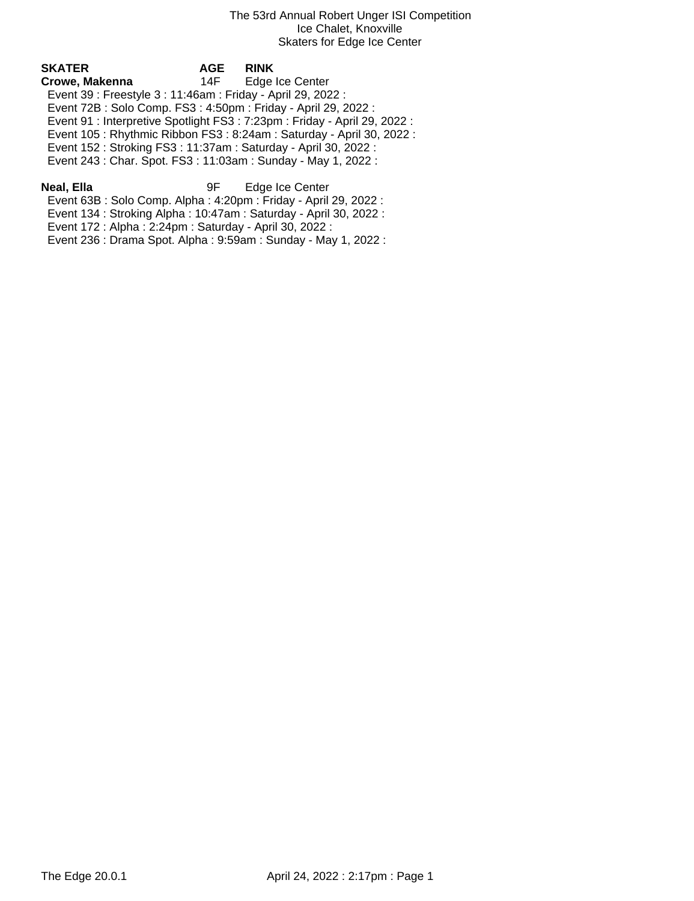| SKATER                                                       | <b>AGE</b> | <b>RINK</b>                                                                |  |
|--------------------------------------------------------------|------------|----------------------------------------------------------------------------|--|
| Crowe, Makenna                                               | 14F -      | Edge Ice Center                                                            |  |
| Event 39 : Freestyle 3 : 11:46am : Friday - April 29, 2022 : |            |                                                                            |  |
|                                                              |            | Event 72B: Solo Comp. FS3: 4:50pm: Friday - April 29, 2022:                |  |
|                                                              |            | Event 91 : Interpretive Spotlight FS3 : 7:23pm : Friday - April 29, 2022 : |  |
|                                                              |            | Event 105: Rhythmic Ribbon FS3: 8:24am: Saturday - April 30, 2022:         |  |
|                                                              |            | Event 152: Stroking FS3: 11:37am: Saturday - April 30, 2022:               |  |
|                                                              |            | Event 243 : Char. Spot. FS3 : 11:03am : Sunday - May 1, 2022 :             |  |
|                                                              |            |                                                                            |  |

**Neal, Ella** 9F Edge Ice Center Event 63B : Solo Comp. Alpha : 4:20pm : Friday - April 29, 2022 :

Event 134 : Stroking Alpha : 10:47am : Saturday - April 30, 2022 :

Event 172 : Alpha : 2:24pm : Saturday - April 30, 2022 :

Event 236 : Drama Spot. Alpha : 9:59am : Sunday - May 1, 2022 :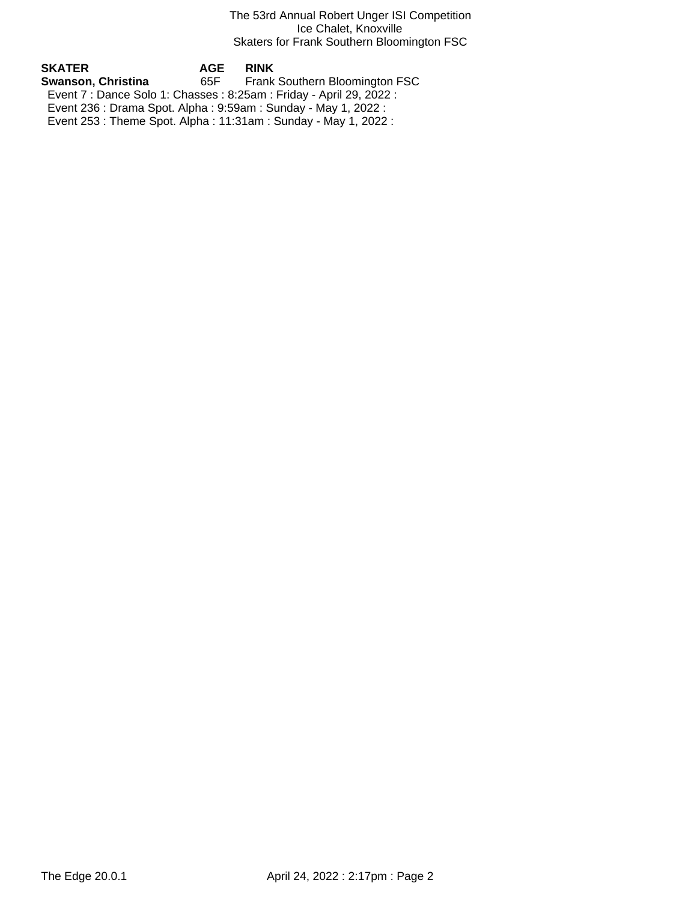### The 53rd Annual Robert Unger ISI Competition Ice Chalet, Knoxville Skaters for Frank Southern Bloomington FSC

**SKATER AGE RINK Frank Southern Bloomington FSC**  Event 7 : Dance Solo 1: Chasses : 8:25am : Friday - April 29, 2022 : Event 236 : Drama Spot. Alpha : 9:59am : Sunday - May 1, 2022 : Event 253 : Theme Spot. Alpha : 11:31am : Sunday - May 1, 2022 :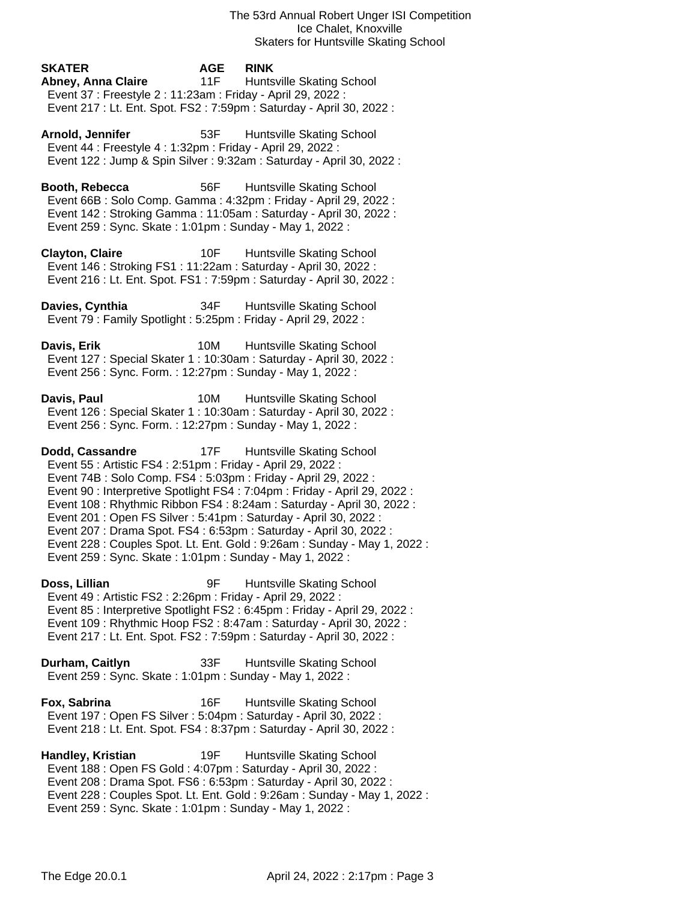**SKATER AGE RINK Abney, Anna Claire** 11F Huntsville Skating School Event 37 : Freestyle 2 : 11:23am : Friday - April 29, 2022 : Event 217 : Lt. Ent. Spot. FS2 : 7:59pm : Saturday - April 30, 2022 :

Arnold, Jennifer **53F** Huntsville Skating School Event 44 : Freestyle 4 : 1:32pm : Friday - April 29, 2022 : Event 122 : Jump & Spin Silver : 9:32am : Saturday - April 30, 2022 :

**Booth, Rebecca** 56F Huntsville Skating School Event 66B : Solo Comp. Gamma : 4:32pm : Friday - April 29, 2022 : Event 142 : Stroking Gamma : 11:05am : Saturday - April 30, 2022 : Event 259 : Sync. Skate : 1:01pm : Sunday - May 1, 2022 :

**Clayton, Claire** 10F Huntsville Skating School Event 146 : Stroking FS1 : 11:22am : Saturday - April 30, 2022 : Event 216 : Lt. Ent. Spot. FS1 : 7:59pm : Saturday - April 30, 2022 :

**Davies, Cynthia** 34F Huntsville Skating School Event 79 : Family Spotlight : 5:25pm : Friday - April 29, 2022 :

**Davis, Erik** 10M Huntsville Skating School Event 127 : Special Skater 1 : 10:30am : Saturday - April 30, 2022 : Event 256 : Sync. Form. : 12:27pm : Sunday - May 1, 2022 :

**Davis, Paul 10M** Huntsville Skating School Event 126 : Special Skater 1 : 10:30am : Saturday - April 30, 2022 : Event 256 : Sync. Form. : 12:27pm : Sunday - May 1, 2022 :

**Dodd, Cassandre** 17F Huntsville Skating School Event 55 : Artistic FS4 : 2:51pm : Friday - April 29, 2022 : Event 74B : Solo Comp. FS4 : 5:03pm : Friday - April 29, 2022 : Event 90 : Interpretive Spotlight FS4 : 7:04pm : Friday - April 29, 2022 : Event 108 : Rhythmic Ribbon FS4 : 8:24am : Saturday - April 30, 2022 : Event 201 : Open FS Silver : 5:41pm : Saturday - April 30, 2022 : Event 207 : Drama Spot. FS4 : 6:53pm : Saturday - April 30, 2022 : Event 228 : Couples Spot. Lt. Ent. Gold : 9:26am : Sunday - May 1, 2022 : Event 259 : Sync. Skate : 1:01pm : Sunday - May 1, 2022 :

**Doss, Lillian** 9F Huntsville Skating School Event 49 : Artistic FS2 : 2:26pm : Friday - April 29, 2022 : Event 85 : Interpretive Spotlight FS2 : 6:45pm : Friday - April 29, 2022 : Event 109 : Rhythmic Hoop FS2 : 8:47am : Saturday - April 30, 2022 : Event 217 : Lt. Ent. Spot. FS2 : 7:59pm : Saturday - April 30, 2022 :

**Durham, Caitlyn** 33F Huntsville Skating School Event 259 : Sync. Skate : 1:01pm : Sunday - May 1, 2022 :

**Fox, Sabrina** 16F Huntsville Skating School Event 197 : Open FS Silver : 5:04pm : Saturday - April 30, 2022 : Event 218 : Lt. Ent. Spot. FS4 : 8:37pm : Saturday - April 30, 2022 :

**Handley, Kristian** 19F Huntsville Skating School Event 188 : Open FS Gold : 4:07pm : Saturday - April 30, 2022 : Event 208 : Drama Spot. FS6 : 6:53pm : Saturday - April 30, 2022 : Event 228 : Couples Spot. Lt. Ent. Gold : 9:26am : Sunday - May 1, 2022 : Event 259 : Sync. Skate : 1:01pm : Sunday - May 1, 2022 :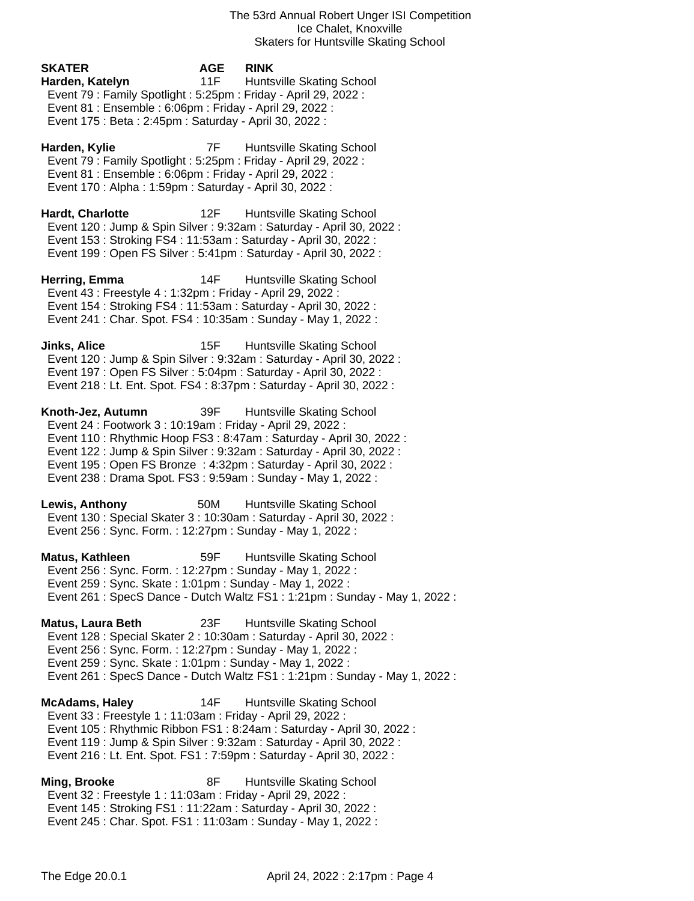# **SKATER AGE RINK Harden, Katelyn** 11F Huntsville Skating School Event 79 : Family Spotlight : 5:25pm : Friday - April 29, 2022 : Event 81 : Ensemble : 6:06pm : Friday - April 29, 2022 : Event 175 : Beta : 2:45pm : Saturday - April 30, 2022 :

**Harden, Kylie** 7F Huntsville Skating School Event 79 : Family Spotlight : 5:25pm : Friday - April 29, 2022 : Event 81 : Ensemble : 6:06pm : Friday - April 29, 2022 : Event 170 : Alpha : 1:59pm : Saturday - April 30, 2022 :

**Hardt, Charlotte** 12F Huntsville Skating School Event 120 : Jump & Spin Silver : 9:32am : Saturday - April 30, 2022 : Event 153 : Stroking FS4 : 11:53am : Saturday - April 30, 2022 : Event 199 : Open FS Silver : 5:41pm : Saturday - April 30, 2022 :

**Herring, Emma** 14F Huntsville Skating School Event 43 : Freestyle 4 : 1:32pm : Friday - April 29, 2022 : Event 154 : Stroking FS4 : 11:53am : Saturday - April 30, 2022 : Event 241 : Char. Spot. FS4 : 10:35am : Sunday - May 1, 2022 :

**Jinks, Alice** 15F Huntsville Skating School Event 120 : Jump & Spin Silver : 9:32am : Saturday - April 30, 2022 : Event 197 : Open FS Silver : 5:04pm : Saturday - April 30, 2022 : Event 218 : Lt. Ent. Spot. FS4 : 8:37pm : Saturday - April 30, 2022 :

**Knoth-Jez, Autumn** 39F Huntsville Skating School Event 24 : Footwork 3 : 10:19am : Friday - April 29, 2022 : Event 110 : Rhythmic Hoop FS3 : 8:47am : Saturday - April 30, 2022 : Event 122 : Jump & Spin Silver : 9:32am : Saturday - April 30, 2022 : Event 195 : Open FS Bronze : 4:32pm : Saturday - April 30, 2022 : Event 238 : Drama Spot. FS3 : 9:59am : Sunday - May 1, 2022 :

**Lewis, Anthony** 50M Huntsville Skating School Event 130 : Special Skater 3 : 10:30am : Saturday - April 30, 2022 : Event 256 : Sync. Form. : 12:27pm : Sunday - May 1, 2022 :

**Matus, Kathleen** 59F Huntsville Skating School Event 256 : Sync. Form. : 12:27pm : Sunday - May 1, 2022 : Event 259 : Sync. Skate : 1:01pm : Sunday - May 1, 2022 : Event 261 : SpecS Dance - Dutch Waltz FS1 : 1:21pm : Sunday - May 1, 2022 :

**Matus, Laura Beth** 23F Huntsville Skating School Event 128 : Special Skater 2 : 10:30am : Saturday - April 30, 2022 : Event 256 : Sync. Form. : 12:27pm : Sunday - May 1, 2022 : Event 259 : Sync. Skate : 1:01pm : Sunday - May 1, 2022 : Event 261 : SpecS Dance - Dutch Waltz FS1 : 1:21pm : Sunday - May 1, 2022 :

**McAdams, Haley** 14F Huntsville Skating School Event 33 : Freestyle 1 : 11:03am : Friday - April 29, 2022 : Event 105 : Rhythmic Ribbon FS1 : 8:24am : Saturday - April 30, 2022 : Event 119 : Jump & Spin Silver : 9:32am : Saturday - April 30, 2022 : Event 216 : Lt. Ent. Spot. FS1 : 7:59pm : Saturday - April 30, 2022 :

**Ming, Brooke** 8F Huntsville Skating School Event 32 : Freestyle 1 : 11:03am : Friday - April 29, 2022 : Event 145 : Stroking FS1 : 11:22am : Saturday - April 30, 2022 : Event 245 : Char. Spot. FS1 : 11:03am : Sunday - May 1, 2022 :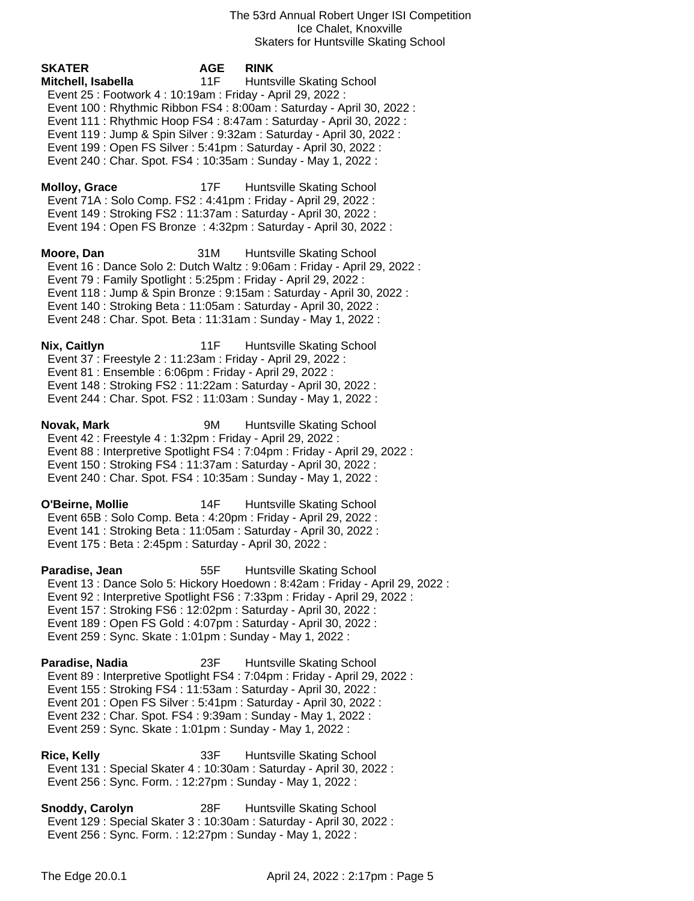The 53rd Annual Robert Unger ISI Competition Ice Chalet, Knoxville Skaters for Huntsville Skating School

**SKATER AGE RINK Mitchell, Isabella** 11F Huntsville Skating School Event 25 : Footwork 4 : 10:19am : Friday - April 29, 2022 : Event 100 : Rhythmic Ribbon FS4 : 8:00am : Saturday - April 30, 2022 : Event 111 : Rhythmic Hoop FS4 : 8:47am : Saturday - April 30, 2022 : Event 119 : Jump & Spin Silver : 9:32am : Saturday - April 30, 2022 : Event 199 : Open FS Silver : 5:41pm : Saturday - April 30, 2022 : Event 240 : Char. Spot. FS4 : 10:35am : Sunday - May 1, 2022 : **Molloy, Grace** 17F Huntsville Skating School Event 71A : Solo Comp. FS2 : 4:41pm : Friday - April 29, 2022 : Event 149 : Stroking FS2 : 11:37am : Saturday - April 30, 2022 : Event 194 : Open FS Bronze : 4:32pm : Saturday - April 30, 2022 : **Moore, Dan** 31M Huntsville Skating School Event 16 : Dance Solo 2: Dutch Waltz : 9:06am : Friday - April 29, 2022 : Event 79 : Family Spotlight : 5:25pm : Friday - April 29, 2022 : Event 118 : Jump & Spin Bronze : 9:15am : Saturday - April 30, 2022 : Event 140 : Stroking Beta : 11:05am : Saturday - April 30, 2022 : Event 248 : Char. Spot. Beta : 11:31am : Sunday - May 1, 2022 : **Nix, Caitlyn** 11F Huntsville Skating School Event 37 : Freestyle 2 : 11:23am : Friday - April 29, 2022 : Event 81 : Ensemble : 6:06pm : Friday - April 29, 2022 : Event 148 : Stroking FS2 : 11:22am : Saturday - April 30, 2022 : Event 244 : Char. Spot. FS2 : 11:03am : Sunday - May 1, 2022 : **Novak, Mark** 9M Huntsville Skating School Event 42 : Freestyle 4 : 1:32pm : Friday - April 29, 2022 : Event 88 : Interpretive Spotlight FS4 : 7:04pm : Friday - April 29, 2022 : Event 150 : Stroking FS4 : 11:37am : Saturday - April 30, 2022 : Event 240 : Char. Spot. FS4 : 10:35am : Sunday - May 1, 2022 : **O'Beirne, Mollie** 14F Huntsville Skating School Event 65B : Solo Comp. Beta : 4:20pm : Friday - April 29, 2022 : Event 141 : Stroking Beta : 11:05am : Saturday - April 30, 2022 : Event 175 : Beta : 2:45pm : Saturday - April 30, 2022 : **Paradise, Jean** 55F Huntsville Skating School Event 13 : Dance Solo 5: Hickory Hoedown : 8:42am : Friday - April 29, 2022 : Event 92 : Interpretive Spotlight FS6 : 7:33pm : Friday - April 29, 2022 : Event 157 : Stroking FS6 : 12:02pm : Saturday - April 30, 2022 : Event 189 : Open FS Gold : 4:07pm : Saturday - April 30, 2022 : Event 259 : Sync. Skate : 1:01pm : Sunday - May 1, 2022 : **Paradise, Nadia** 23F Huntsville Skating School Event 89 : Interpretive Spotlight FS4 : 7:04pm : Friday - April 29, 2022 : Event 155 : Stroking FS4 : 11:53am : Saturday - April 30, 2022 : Event 201 : Open FS Silver : 5:41pm : Saturday - April 30, 2022 : Event 232 : Char. Spot. FS4 : 9:39am : Sunday - May 1, 2022 :

- Event 259 : Sync. Skate : 1:01pm : Sunday May 1, 2022 :
- **Rice, Kelly** 33F Huntsville Skating School Event 131 : Special Skater 4 : 10:30am : Saturday - April 30, 2022 : Event 256 : Sync. Form. : 12:27pm : Sunday - May 1, 2022 :
- **Snoddy, Carolyn** 28F Huntsville Skating School Event 129 : Special Skater 3 : 10:30am : Saturday - April 30, 2022 : Event 256 : Sync. Form. : 12:27pm : Sunday - May 1, 2022 :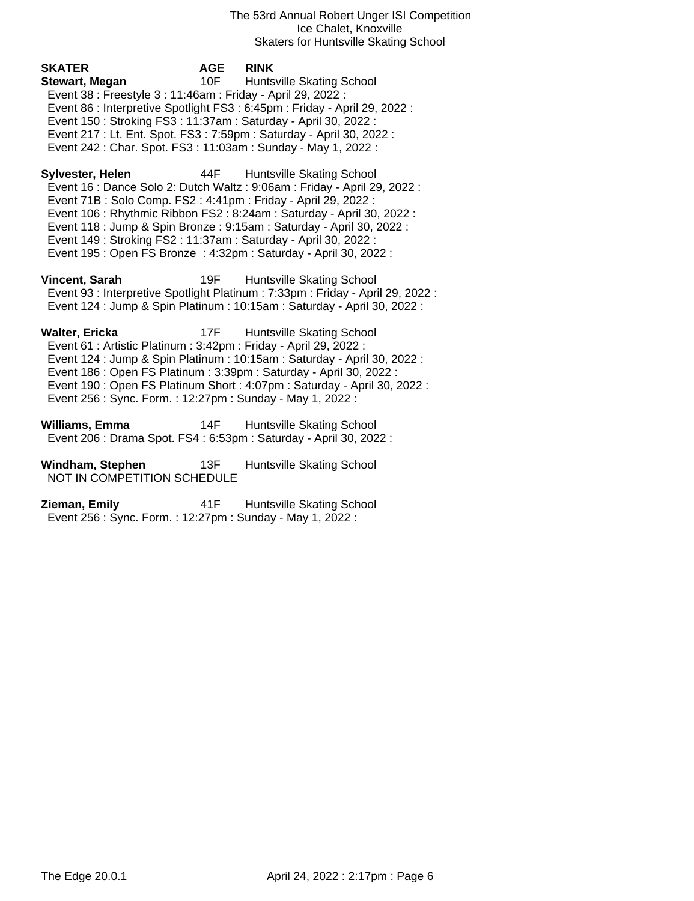The 53rd Annual Robert Unger ISI Competition Ice Chalet, Knoxville Skaters for Huntsville Skating School

**SKATER AGE RINK Stewart, Megan** 10F Huntsville Skating School Event 38 : Freestyle 3 : 11:46am : Friday - April 29, 2022 : Event 86 : Interpretive Spotlight FS3 : 6:45pm : Friday - April 29, 2022 : Event 150 : Stroking FS3 : 11:37am : Saturday - April 30, 2022 : Event 217 : Lt. Ent. Spot. FS3 : 7:59pm : Saturday - April 30, 2022 : Event 242 : Char. Spot. FS3 : 11:03am : Sunday - May 1, 2022 : **Sylvester, Helen** 44F Huntsville Skating School Event 16 : Dance Solo 2: Dutch Waltz : 9:06am : Friday - April 29, 2022 : Event 71B : Solo Comp. FS2 : 4:41pm : Friday - April 29, 2022 : Event 106 : Rhythmic Ribbon FS2 : 8:24am : Saturday - April 30, 2022 : Event 118 : Jump & Spin Bronze : 9:15am : Saturday - April 30, 2022 : Event 149 : Stroking FS2 : 11:37am : Saturday - April 30, 2022 : Event 195 : Open FS Bronze : 4:32pm : Saturday - April 30, 2022 :

**Vincent, Sarah** 19F Huntsville Skating School Event 93 : Interpretive Spotlight Platinum : 7:33pm : Friday - April 29, 2022 : Event 124 : Jump & Spin Platinum : 10:15am : Saturday - April 30, 2022 :

**Walter, Ericka** 17F Huntsville Skating School Event 61 : Artistic Platinum : 3:42pm : Friday - April 29, 2022 : Event 124 : Jump & Spin Platinum : 10:15am : Saturday - April 30, 2022 : Event 186 : Open FS Platinum : 3:39pm : Saturday - April 30, 2022 : Event 190 : Open FS Platinum Short : 4:07pm : Saturday - April 30, 2022 : Event 256 : Sync. Form. : 12:27pm : Sunday - May 1, 2022 :

**Williams, Emma** 14F Huntsville Skating School Event 206 : Drama Spot. FS4 : 6:53pm : Saturday - April 30, 2022 :

**Windham, Stephen** 13F Huntsville Skating School NOT IN COMPETITION SCHEDULE

**Zieman, Emily** 41F Huntsville Skating School Event 256 : Sync. Form. : 12:27pm : Sunday - May 1, 2022 :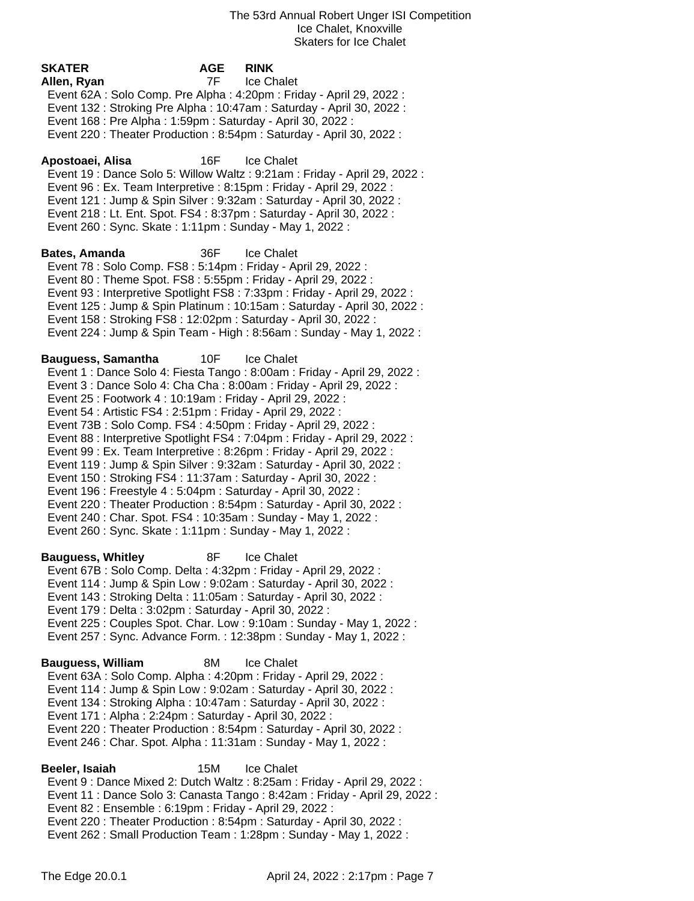**SKATER AGE RINK Allen, Ryan** 7F Ice Chalet Event 62A : Solo Comp. Pre Alpha : 4:20pm : Friday - April 29, 2022 : Event 132 : Stroking Pre Alpha : 10:47am : Saturday - April 30, 2022 : Event 168 : Pre Alpha : 1:59pm : Saturday - April 30, 2022 : Event 220 : Theater Production : 8:54pm : Saturday - April 30, 2022 : **Apostoaei, Alisa** 16F Ice Chalet Event 19 : Dance Solo 5: Willow Waltz : 9:21am : Friday - April 29, 2022 : Event 96 : Ex. Team Interpretive : 8:15pm : Friday - April 29, 2022 : Event 121 : Jump & Spin Silver : 9:32am : Saturday - April 30, 2022 : Event 218 : Lt. Ent. Spot. FS4 : 8:37pm : Saturday - April 30, 2022 : Event 260 : Sync. Skate : 1:11pm : Sunday - May 1, 2022 : **Bates, Amanda** 36F Ice Chalet Event 78 : Solo Comp. FS8 : 5:14pm : Friday - April 29, 2022 : Event 80 : Theme Spot. FS8 : 5:55pm : Friday - April 29, 2022 : Event 93 : Interpretive Spotlight FS8 : 7:33pm : Friday - April 29, 2022 : Event 125 : Jump & Spin Platinum : 10:15am : Saturday - April 30, 2022 : Event 158 : Stroking FS8 : 12:02pm : Saturday - April 30, 2022 : Event 224 : Jump & Spin Team - High : 8:56am : Sunday - May 1, 2022 : **Bauguess, Samantha** 10F Ice Chalet Event 1 : Dance Solo 4: Fiesta Tango : 8:00am : Friday - April 29, 2022 : Event 3 : Dance Solo 4: Cha Cha : 8:00am : Friday - April 29, 2022 : Event 25 : Footwork 4 : 10:19am : Friday - April 29, 2022 : Event 54 : Artistic FS4 : 2:51pm : Friday - April 29, 2022 : Event 73B : Solo Comp. FS4 : 4:50pm : Friday - April 29, 2022 : Event 88 : Interpretive Spotlight FS4 : 7:04pm : Friday - April 29, 2022 : Event 99 : Ex. Team Interpretive : 8:26pm : Friday - April 29, 2022 : Event 119 : Jump & Spin Silver : 9:32am : Saturday - April 30, 2022 : Event 150 : Stroking FS4 : 11:37am : Saturday - April 30, 2022 : Event 196 : Freestyle 4 : 5:04pm : Saturday - April 30, 2022 : Event 220 : Theater Production : 8:54pm : Saturday - April 30, 2022 : Event 240 : Char. Spot. FS4 : 10:35am : Sunday - May 1, 2022 : Event 260 : Sync. Skate : 1:11pm : Sunday - May 1, 2022 : **Bauguess, Whitley** 8F Ice Chalet Event 67B : Solo Comp. Delta : 4:32pm : Friday - April 29, 2022 : Event 114 : Jump & Spin Low : 9:02am : Saturday - April 30, 2022 : Event 143 : Stroking Delta : 11:05am : Saturday - April 30, 2022 : Event 179 : Delta : 3:02pm : Saturday - April 30, 2022 : Event 225 : Couples Spot. Char. Low : 9:10am : Sunday - May 1, 2022 : Event 257 : Sync. Advance Form. : 12:38pm : Sunday - May 1, 2022 : **Bauguess, William** 8M Ice Chalet Event 63A : Solo Comp. Alpha : 4:20pm : Friday - April 29, 2022 : Event 114 : Jump & Spin Low : 9:02am : Saturday - April 30, 2022 : Event 134 : Stroking Alpha : 10:47am : Saturday - April 30, 2022 : Event 171 : Alpha : 2:24pm : Saturday - April 30, 2022 : Event 220 : Theater Production : 8:54pm : Saturday - April 30, 2022 : Event 246 : Char. Spot. Alpha : 11:31am : Sunday - May 1, 2022 : **Beeler, Isaiah** 15M Ice Chalet Event 9 : Dance Mixed 2: Dutch Waltz : 8:25am : Friday - April 29, 2022 : Event 11 : Dance Solo 3: Canasta Tango : 8:42am : Friday - April 29, 2022 : Event 82 : Ensemble : 6:19pm : Friday - April 29, 2022 :

 Event 220 : Theater Production : 8:54pm : Saturday - April 30, 2022 : Event 262 : Small Production Team : 1:28pm : Sunday - May 1, 2022 :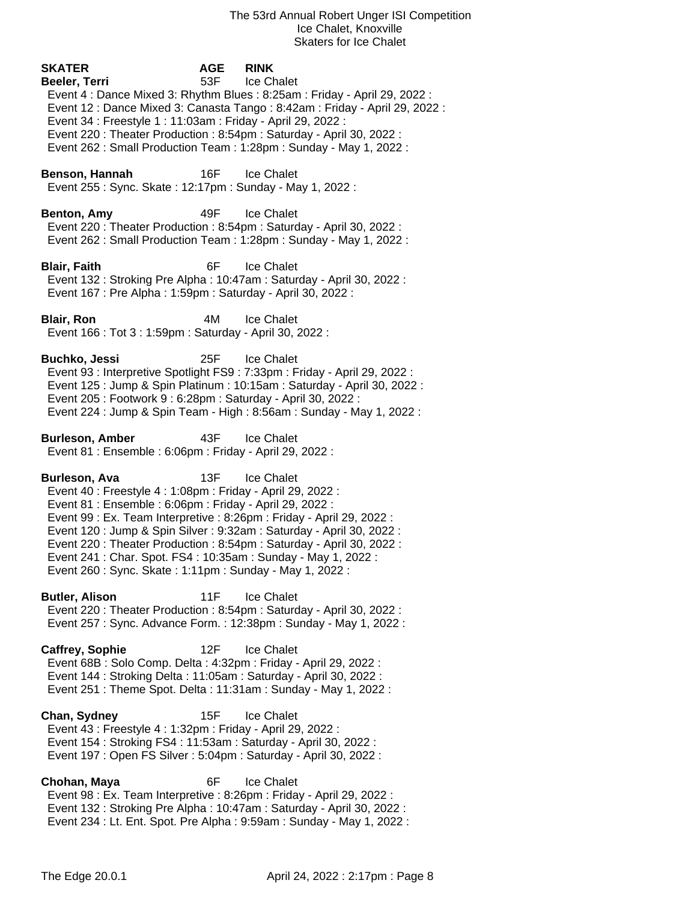| <b>SKATER</b><br>Beeler, Terri<br>Event 34 : Freestyle 1 : 11:03am : Friday - April 29, 2022 :                                                                                                                                                                                 | <b>AGE</b><br>53F | <b>RINK</b><br>Ice Chalet<br>Event 4: Dance Mixed 3: Rhythm Blues: 8:25am: Friday - April 29, 2022:<br>Event 12 : Dance Mixed 3: Canasta Tango : 8:42am : Friday - April 29, 2022 :<br>Event 220 : Theater Production : 8:54pm : Saturday - April 30, 2022 :<br>Event 262 : Small Production Team : 1:28pm : Sunday - May 1, 2022 : |
|--------------------------------------------------------------------------------------------------------------------------------------------------------------------------------------------------------------------------------------------------------------------------------|-------------------|-------------------------------------------------------------------------------------------------------------------------------------------------------------------------------------------------------------------------------------------------------------------------------------------------------------------------------------|
| Benson, Hannah<br>Event 255 : Sync. Skate : 12:17pm : Sunday - May 1, 2022 :                                                                                                                                                                                                   | 16F               | Ice Chalet                                                                                                                                                                                                                                                                                                                          |
| Benton, Amy                                                                                                                                                                                                                                                                    | 49F               | <b>Ice Chalet</b><br>Event 220 : Theater Production : 8:54pm : Saturday - April 30, 2022 :<br>Event 262: Small Production Team: 1:28pm: Sunday - May 1, 2022:                                                                                                                                                                       |
| <b>Blair, Faith</b><br>Event 167 : Pre Alpha : 1:59pm : Saturday - April 30, 2022 :                                                                                                                                                                                            | 6F                | Ice Chalet<br>Event 132: Stroking Pre Alpha: 10:47am: Saturday - April 30, 2022:                                                                                                                                                                                                                                                    |
| <b>Blair, Ron</b><br>Event 166 : Tot 3 : 1:59pm : Saturday - April 30, 2022 :                                                                                                                                                                                                  | 4M                | Ice Chalet                                                                                                                                                                                                                                                                                                                          |
| <b>Buchko, Jessi</b><br>Event 205 : Footwork 9 : 6:28pm : Saturday - April 30, 2022 :                                                                                                                                                                                          | 25F               | Ice Chalet<br>Event 93 : Interpretive Spotlight FS9 : 7:33pm : Friday - April 29, 2022 :<br>Event 125 : Jump & Spin Platinum : 10:15am : Saturday - April 30, 2022 :<br>Event 224 : Jump & Spin Team - High : 8:56am : Sunday - May 1, 2022 :                                                                                       |
| <b>Burleson, Amber</b><br>Event 81 : Ensemble : 6:06pm : Friday - April 29, 2022 :                                                                                                                                                                                             | 43F               | <b>Ice Chalet</b>                                                                                                                                                                                                                                                                                                                   |
| <b>Burleson, Ava</b><br>Event 40 : Freestyle 4 : 1:08pm : Friday - April 29, 2022 :<br>Event 81 : Ensemble : 6:06pm : Friday - April 29, 2022 :<br>Event 241 : Char. Spot. FS4 : 10:35am : Sunday - May 1, 2022 :<br>Event 260 : Sync. Skate : 1:11pm : Sunday - May 1, 2022 : | 13F               | Ice Chalet<br>Event 99 : Ex. Team Interpretive : 8:26pm : Friday - April 29, 2022 :<br>Event 120 : Jump & Spin Silver : 9:32am : Saturday - April 30, 2022 :<br>Event 220 : Theater Production : 8:54pm : Saturday - April 30, 2022 :                                                                                               |
| <b>Butler, Alison</b>                                                                                                                                                                                                                                                          | 11F               | Ice Chalet<br>Event 220 : Theater Production : 8:54pm : Saturday - April 30, 2022 :<br>Event 257 : Sync. Advance Form. : 12:38pm : Sunday - May 1, 2022 :                                                                                                                                                                           |
| <b>Caffrey, Sophie</b><br>Event 68B: Solo Comp. Delta: 4:32pm: Friday - April 29, 2022:<br>Event 144 : Stroking Delta : 11:05am : Saturday - April 30, 2022 :<br>Event 251 : Theme Spot. Delta : 11:31am : Sunday - May 1, 2022 :                                              | 12F               | Ice Chalet                                                                                                                                                                                                                                                                                                                          |
| Chan, Sydney<br>Event 43 : Freestyle 4 : 1:32pm : Friday - April 29, 2022 :<br>Event 154 : Stroking FS4 : 11:53am : Saturday - April 30, 2022 :<br>Event 197 : Open FS Silver : 5:04pm : Saturday - April 30, 2022 :                                                           | 15F               | Ice Chalet                                                                                                                                                                                                                                                                                                                          |
| Chohan, Maya<br>Event 98 : Ex. Team Interpretive : 8:26pm : Friday - April 29, 2022 :                                                                                                                                                                                          | 6F                | <b>Ice Chalet</b><br>Event 132: Stroking Pre Alpha: 10:47am: Saturday - April 30, 2022:<br>Event 234 : Lt. Ent. Spot. Pre Alpha : 9:59am : Sunday - May 1, 2022 :                                                                                                                                                                   |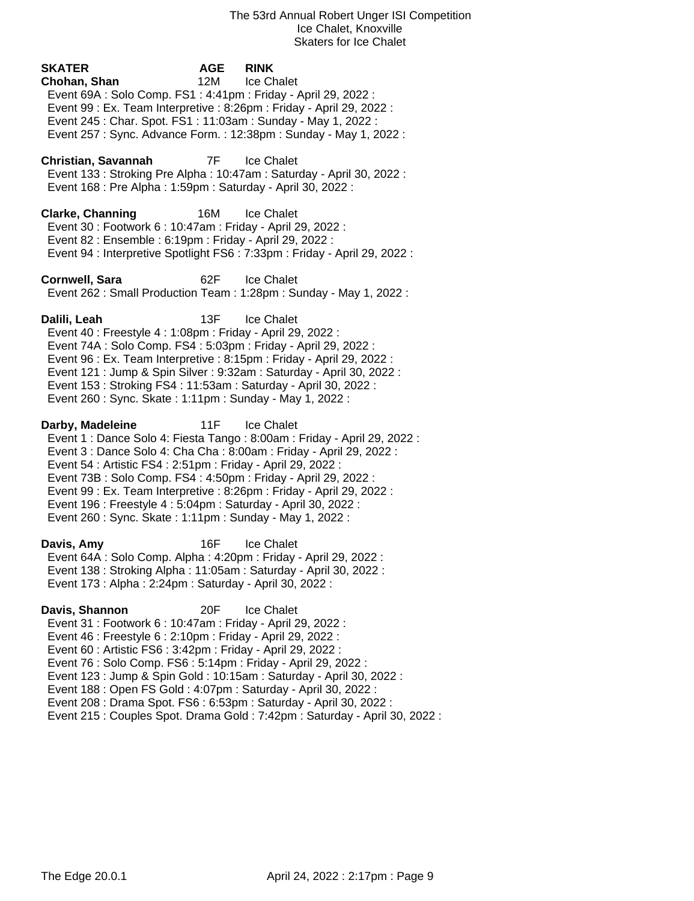| <b>SKATER</b><br>Chohan, Shan<br>Event 69A : Solo Comp. FS1 : 4:41pm : Friday - April 29, 2022 :<br>Event 245 : Char. Spot. FS1 : 11:03am : Sunday - May 1, 2022 :                                                                                                                                                                            | AGE<br>12M | <b>RINK</b><br>Ice Chalet<br>Event 99 : Ex. Team Interpretive : 8:26pm : Friday - April 29, 2022 :<br>Event 257 : Sync. Advance Form. : 12:38pm : Sunday - May 1, 2022 :                                                                        |
|-----------------------------------------------------------------------------------------------------------------------------------------------------------------------------------------------------------------------------------------------------------------------------------------------------------------------------------------------|------------|-------------------------------------------------------------------------------------------------------------------------------------------------------------------------------------------------------------------------------------------------|
| Christian, Savannah<br>Event 168 : Pre Alpha : 1:59pm : Saturday - April 30, 2022 :                                                                                                                                                                                                                                                           | 7F         | Ice Chalet<br>Event 133: Stroking Pre Alpha: 10:47am: Saturday - April 30, 2022:                                                                                                                                                                |
| <b>Clarke, Channing</b><br>Event 30 : Footwork 6 : 10:47am : Friday - April 29, 2022 :<br>Event 82 : Ensemble : 6:19pm : Friday - April 29, 2022 :                                                                                                                                                                                            | 16M        | Ice Chalet<br>Event 94 : Interpretive Spotlight FS6 : 7:33pm : Friday - April 29, 2022 :                                                                                                                                                        |
| Cornwell, Sara                                                                                                                                                                                                                                                                                                                                | 62F        | <b>Ice Chalet</b><br>Event 262 : Small Production Team : 1:28pm : Sunday - May 1, 2022 :                                                                                                                                                        |
| Dalili, Leah<br>Event 40 : Freestyle 4 : 1:08pm : Friday - April 29, 2022 :<br>Event 74A : Solo Comp. FS4 : 5:03pm : Friday - April 29, 2022 :<br>Event 153: Stroking FS4: 11:53am: Saturday - April 30, 2022:<br>Event 260 : Sync. Skate : 1:11pm : Sunday - May 1, 2022 :                                                                   | 13F        | Ice Chalet<br>Event 96 : Ex. Team Interpretive : 8:15pm : Friday - April 29, 2022 :<br>Event 121 : Jump & Spin Silver : 9:32am : Saturday - April 30, 2022 :                                                                                    |
| Darby, Madeleine<br>Event 54 : Artistic FS4 : 2:51pm : Friday - April 29, 2022 :<br>Event 73B: Solo Comp. FS4: 4:50pm: Friday - April 29, 2022:<br>Event 196 : Freestyle 4 : 5:04pm : Saturday - April 30, 2022 :<br>Event 260 : Sync. Skate : 1:11pm : Sunday - May 1, 2022 :                                                                | 11F        | <b>Ice Chalet</b><br>Event 1 : Dance Solo 4: Fiesta Tango : 8:00am : Friday - April 29, 2022 :<br>Event 3 : Dance Solo 4: Cha Cha : 8:00am : Friday - April 29, 2022 :<br>Event 99 : Ex. Team Interpretive : 8:26pm : Friday - April 29, 2022 : |
| Davis, Amy<br>Event 64A : Solo Comp. Alpha : 4:20pm : Friday - April 29, 2022 :<br>Event 138 : Stroking Alpha : 11:05am : Saturday - April 30, 2022 :<br>Event 173 : Alpha : 2:24pm : Saturday - April 30, 2022 :                                                                                                                             | 16F        | <b>Ice Chalet</b>                                                                                                                                                                                                                               |
| Davis, Shannon<br>Event 31: Footwork 6: 10:47am: Friday - April 29, 2022:<br>Event 46 : Freestyle 6 : 2:10pm : Friday - April 29, 2022 :<br>Event 60 : Artistic FS6 : 3:42pm : Friday - April 29, 2022 :<br>Event 76 : Solo Comp. FS6 : 5:14pm : Friday - April 29, 2022 :<br>Event 188 : Open FS Gold : 4:07pm : Saturday - April 30, 2022 : | 20F        | <b>Ice Chalet</b><br>Event 123 : Jump & Spin Gold : 10:15am : Saturday - April 30, 2022 :<br>Event 208 : Drama Spot. FS6 : 6:53pm : Saturday - April 30, 2022 :<br>Event 215 : Couples Spot. Drama Gold : 7:42pm : Saturday - April 30, 2022 :  |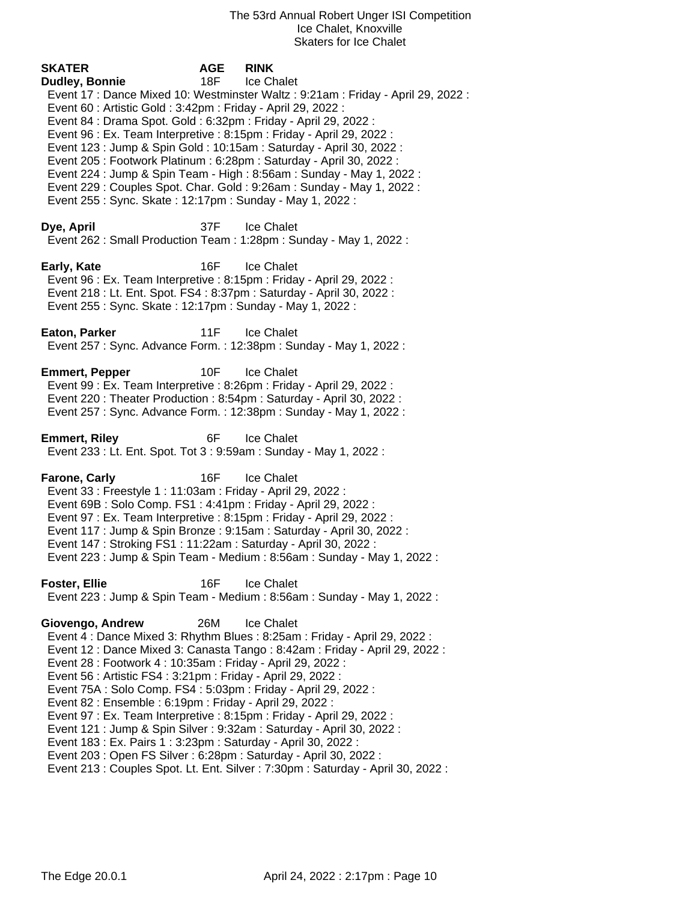**SKATER AGE RINK Dudley, Bonnie** 18F Ice Chalet Event 17 : Dance Mixed 10: Westminster Waltz : 9:21am : Friday - April 29, 2022 : Event 60 : Artistic Gold : 3:42pm : Friday - April 29, 2022 : Event 84 : Drama Spot. Gold : 6:32pm : Friday - April 29, 2022 : Event 96 : Ex. Team Interpretive : 8:15pm : Friday - April 29, 2022 : Event 123 : Jump & Spin Gold : 10:15am : Saturday - April 30, 2022 : Event 205 : Footwork Platinum : 6:28pm : Saturday - April 30, 2022 : Event 224 : Jump & Spin Team - High : 8:56am : Sunday - May 1, 2022 : Event 229 : Couples Spot. Char. Gold : 9:26am : Sunday - May 1, 2022 : Event 255 : Sync. Skate : 12:17pm : Sunday - May 1, 2022 : **Dye, April** 37F Ice Chalet Event 262 : Small Production Team : 1:28pm : Sunday - May 1, 2022 : **Early, Kate** 16F Ice Chalet Event 96 : Ex. Team Interpretive : 8:15pm : Friday - April 29, 2022 : Event 218 : Lt. Ent. Spot. FS4 : 8:37pm : Saturday - April 30, 2022 : Event 255 : Sync. Skate : 12:17pm : Sunday - May 1, 2022 : **Eaton, Parker** 11F Ice Chalet Event 257 : Sync. Advance Form. : 12:38pm : Sunday - May 1, 2022 : **Emmert, Pepper** 10F Ice Chalet Event 99 : Ex. Team Interpretive : 8:26pm : Friday - April 29, 2022 : Event 220 : Theater Production : 8:54pm : Saturday - April 30, 2022 : Event 257 : Sync. Advance Form. : 12:38pm : Sunday - May 1, 2022 : **Emmert, Riley** 6F Ice Chalet Event 233 : Lt. Ent. Spot. Tot 3 : 9:59am : Sunday - May 1, 2022 : **Farone, Carly 16F** Ice Chalet Event 33 : Freestyle 1 : 11:03am : Friday - April 29, 2022 : Event 69B : Solo Comp. FS1 : 4:41pm : Friday - April 29, 2022 : Event 97 : Ex. Team Interpretive : 8:15pm : Friday - April 29, 2022 : Event 117 : Jump & Spin Bronze : 9:15am : Saturday - April 30, 2022 : Event 147 : Stroking FS1 : 11:22am : Saturday - April 30, 2022 : Event 223 : Jump & Spin Team - Medium : 8:56am : Sunday - May 1, 2022 : **Foster, Ellie** 16F Ice Chalet Event 223 : Jump & Spin Team - Medium : 8:56am : Sunday - May 1, 2022 : **Giovengo, Andrew** 26M Ice Chalet Event 4 : Dance Mixed 3: Rhythm Blues : 8:25am : Friday - April 29, 2022 : Event 12 : Dance Mixed 3: Canasta Tango : 8:42am : Friday - April 29, 2022 : Event 28 : Footwork 4 : 10:35am : Friday - April 29, 2022 : Event 56 : Artistic FS4 : 3:21pm : Friday - April 29, 2022 : Event 75A : Solo Comp. FS4 : 5:03pm : Friday - April 29, 2022 : Event 82 : Ensemble : 6:19pm : Friday - April 29, 2022 : Event 97 : Ex. Team Interpretive : 8:15pm : Friday - April 29, 2022 : Event 121 : Jump & Spin Silver : 9:32am : Saturday - April 30, 2022 : Event 183 : Ex. Pairs 1 : 3:23pm : Saturday - April 30, 2022 : Event 203 : Open FS Silver : 6:28pm : Saturday - April 30, 2022 :

Event 213 : Couples Spot. Lt. Ent. Silver : 7:30pm : Saturday - April 30, 2022 :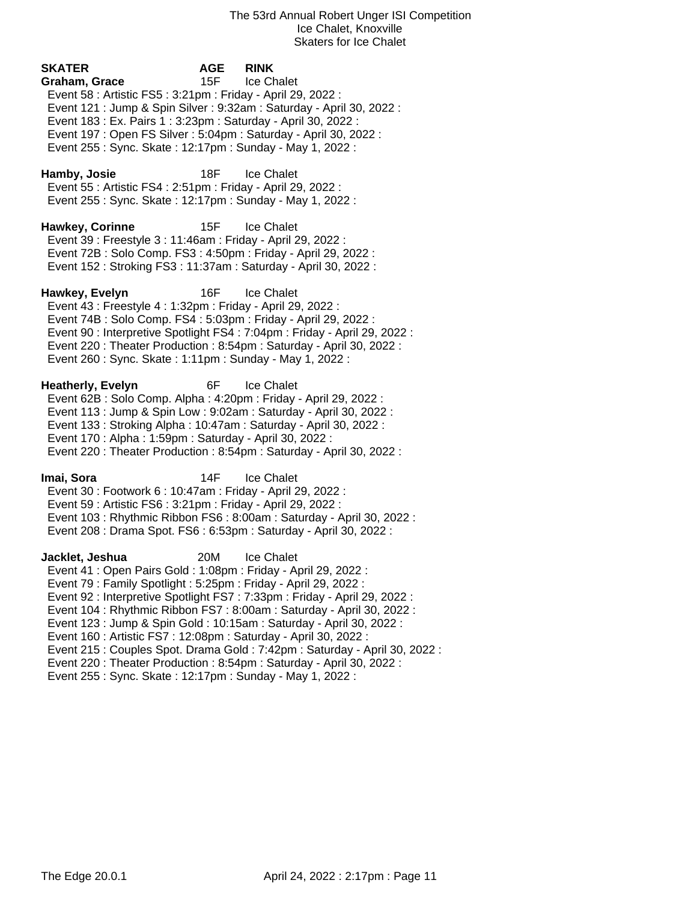| <b>SKATER</b><br>Graham, Grace<br>Event 58 : Artistic FS5 : 3:21pm : Friday - April 29, 2022 :<br>Event 183 : Ex. Pairs 1 : 3:23pm : Saturday - April 30, 2022 :<br>Event 197 : Open FS Silver : 5:04pm : Saturday - April 30, 2022 :<br>Event 255: Sync. Skate: 12:17pm: Sunday - May 1, 2022: | <b>AGE</b><br>15F | <b>RINK</b><br>Ice Chalet<br>Event 121 : Jump & Spin Silver : 9:32am : Saturday - April 30, 2022 :                                                                                                                                                                                                                                                                                                    |
|-------------------------------------------------------------------------------------------------------------------------------------------------------------------------------------------------------------------------------------------------------------------------------------------------|-------------------|-------------------------------------------------------------------------------------------------------------------------------------------------------------------------------------------------------------------------------------------------------------------------------------------------------------------------------------------------------------------------------------------------------|
| Hamby, Josie<br>Event 55: Artistic FS4: 2:51pm: Friday - April 29, 2022:<br>Event 255: Sync. Skate: 12:17pm: Sunday - May 1, 2022:                                                                                                                                                              | 18F               | <b>Ice Chalet</b>                                                                                                                                                                                                                                                                                                                                                                                     |
| <b>Hawkey, Corinne</b><br>Event 39 : Freestyle 3 : 11:46am : Friday - April 29, 2022 :<br>Event 72B: Solo Comp. FS3: 4:50pm: Friday - April 29, 2022:<br>Event 152: Stroking FS3: 11:37am: Saturday - April 30, 2022:                                                                           | 15F               | Ice Chalet                                                                                                                                                                                                                                                                                                                                                                                            |
| Hawkey, Evelyn<br>Event 43 : Freestyle 4 : 1:32pm : Friday - April 29, 2022 :<br>Event 74B: Solo Comp. FS4: 5:03pm: Friday - April 29, 2022:<br>Event 260 : Sync. Skate : 1:11pm : Sunday - May 1, 2022 :                                                                                       | 16F               | Ice Chalet<br>Event 90 : Interpretive Spotlight FS4 : 7:04pm : Friday - April 29, 2022 :<br>Event 220 : Theater Production : 8:54pm : Saturday - April 30, 2022 :                                                                                                                                                                                                                                     |
| <b>Heatherly, Evelyn</b><br>Event 62B: Solo Comp. Alpha: 4:20pm: Friday - April 29, 2022:<br>Event 133: Stroking Alpha: 10:47am: Saturday - April 30, 2022:<br>Event 170 : Alpha : 1:59pm : Saturday - April 30, 2022 :                                                                         | 6F                | Ice Chalet<br>Event 113 : Jump & Spin Low : 9:02am : Saturday - April 30, 2022 :<br>Event 220 : Theater Production : 8:54pm : Saturday - April 30, 2022 :                                                                                                                                                                                                                                             |
| lmai, Sora<br>Event 30: Footwork 6: 10:47am: Friday - April 29, 2022:<br>Event 59 : Artistic FS6 : 3:21pm : Friday - April 29, 2022 :                                                                                                                                                           | 14F               | Ice Chalet<br>Event 103: Rhythmic Ribbon FS6: 8:00am: Saturday - April 30, 2022:<br>Event 208 : Drama Spot. FS6 : 6:53pm : Saturday - April 30, 2022 :                                                                                                                                                                                                                                                |
| Jacklet, Jeshua<br>Event 41 : Open Pairs Gold : 1:08pm : Friday - April 29, 2022 :<br>Event 79: Family Spotlight: 5:25pm: Friday - April 29, 2022:<br>Event 160 : Artistic FS7 : 12:08pm : Saturday - April 30, 2022 :<br>Event 255: Sync. Skate: 12:17pm: Sunday - May 1, 2022:                | 20M               | <b>Ice Chalet</b><br>Event 92 : Interpretive Spotlight FS7 : 7:33pm : Friday - April 29, 2022 :<br>Event 104: Rhythmic Ribbon FS7: 8:00am: Saturday - April 30, 2022:<br>Event 123 : Jump & Spin Gold : 10:15am : Saturday - April 30, 2022 :<br>Event 215 : Couples Spot. Drama Gold : 7:42pm : Saturday - April 30, 2022 :<br>Event 220 : Theater Production : 8:54pm : Saturday - April 30, 2022 : |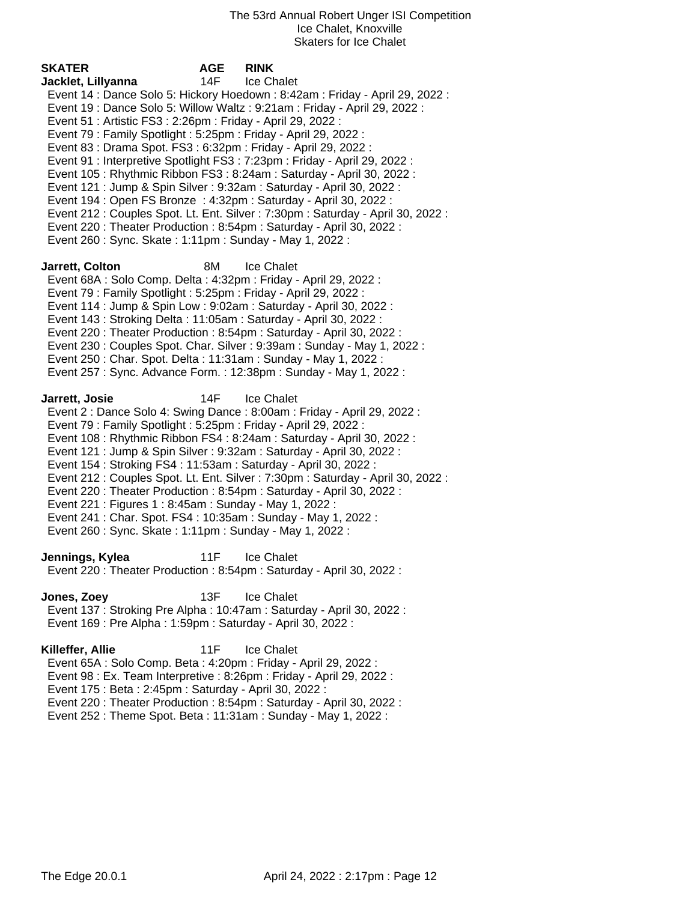| <b>SKATER</b>                                                                                                                                                                                                                                                                                                                                    | <b>AGE</b> | <b>RINK</b>                                                                                                                                                                                                                                                                                                                                                                                                                                                                                                                                                                                                                          |
|--------------------------------------------------------------------------------------------------------------------------------------------------------------------------------------------------------------------------------------------------------------------------------------------------------------------------------------------------|------------|--------------------------------------------------------------------------------------------------------------------------------------------------------------------------------------------------------------------------------------------------------------------------------------------------------------------------------------------------------------------------------------------------------------------------------------------------------------------------------------------------------------------------------------------------------------------------------------------------------------------------------------|
| Jacklet, Lillyanna<br>Event 51 : Artistic FS3 : 2:26pm : Friday - April 29, 2022 :<br>Event 79 : Family Spotlight : 5:25pm : Friday - April 29, 2022 :<br>Event 83 : Drama Spot. FS3 : 6:32pm : Friday - April 29, 2022 :<br>Event 260 : Sync. Skate : 1:11pm : Sunday - May 1, 2022 :                                                           | 14F        | Ice Chalet<br>Event 14 : Dance Solo 5: Hickory Hoedown : 8:42am : Friday - April 29, 2022 :<br>Event 19: Dance Solo 5: Willow Waltz: 9:21am: Friday - April 29, 2022:<br>Event 91 : Interpretive Spotlight FS3 : 7:23pm : Friday - April 29, 2022 :<br>Event 105: Rhythmic Ribbon FS3: 8:24am: Saturday - April 30, 2022:<br>Event 121 : Jump & Spin Silver : 9:32am : Saturday - April 30, 2022 :<br>Event 194 : Open FS Bronze : 4:32pm : Saturday - April 30, 2022 :<br>Event 212 : Couples Spot. Lt. Ent. Silver : 7:30pm : Saturday - April 30, 2022 :<br>Event 220 : Theater Production : 8:54pm : Saturday - April 30, 2022 : |
| Jarrett, Colton<br>Event 68A : Solo Comp. Delta : 4:32pm : Friday - April 29, 2022 :<br>Event 79: Family Spotlight: 5:25pm: Friday - April 29, 2022:<br>Event 143 : Stroking Delta : 11:05am : Saturday - April 30, 2022 :<br>Event 250 : Char. Spot. Delta : 11:31am : Sunday - May 1, 2022 :                                                   | 8M         | Ice Chalet<br>Event 114 : Jump & Spin Low : 9:02am : Saturday - April 30, 2022 :<br>Event 220 : Theater Production : 8:54pm : Saturday - April 30, 2022 :<br>Event 230 : Couples Spot. Char. Silver : 9:39am : Sunday - May 1, 2022 :<br>Event 257: Sync. Advance Form.: 12:38pm: Sunday - May 1, 2022:                                                                                                                                                                                                                                                                                                                              |
| Jarrett, Josie<br>Event 79 : Family Spotlight : 5:25pm : Friday - April 29, 2022 :<br>Event 154 : Stroking FS4 : 11:53am : Saturday - April 30, 2022 :<br>Event 221 : Figures 1 : 8:45am : Sunday - May 1, 2022 :<br>Event 241 : Char. Spot. FS4 : 10:35am : Sunday - May 1, 2022 :<br>Event 260 : Sync. Skate : 1:11pm : Sunday - May 1, 2022 : | 14F        | Ice Chalet<br>Event 2: Dance Solo 4: Swing Dance: 8:00am: Friday - April 29, 2022:<br>Event 108 : Rhythmic Ribbon FS4 : 8:24am : Saturday - April 30, 2022 :<br>Event 121 : Jump & Spin Silver : 9:32am : Saturday - April 30, 2022 :<br>Event 212 : Couples Spot. Lt. Ent. Silver : 7:30pm : Saturday - April 30, 2022 :<br>Event 220 : Theater Production : 8:54pm : Saturday - April 30, 2022 :                                                                                                                                                                                                                                   |
| Jennings, Kylea                                                                                                                                                                                                                                                                                                                                  | 11F        | Ice Chalet<br>Event 220 : Theater Production : 8:54pm : Saturday - April 30, 2022 :                                                                                                                                                                                                                                                                                                                                                                                                                                                                                                                                                  |
| Jones, Zoey<br>Event 169 : Pre Alpha : 1:59pm : Saturday - April 30, 2022 :                                                                                                                                                                                                                                                                      | 13F        | Ice Chalet<br>Event 137: Stroking Pre Alpha: 10:47am: Saturday - April 30, 2022:                                                                                                                                                                                                                                                                                                                                                                                                                                                                                                                                                     |
| Killeffer, Allie<br>Event 65A: Solo Comp. Beta: 4:20pm: Friday - April 29, 2022:<br>Event 175 : Beta : 2:45pm : Saturday - April 30, 2022 :                                                                                                                                                                                                      | 11F        | Ice Chalet<br>Event 98 : Ex. Team Interpretive : 8:26pm : Friday - April 29, 2022 :                                                                                                                                                                                                                                                                                                                                                                                                                                                                                                                                                  |

Event 220 : Theater Production : 8:54pm : Saturday - April 30, 2022 :

Event 252 : Theme Spot. Beta : 11:31am : Sunday - May 1, 2022 :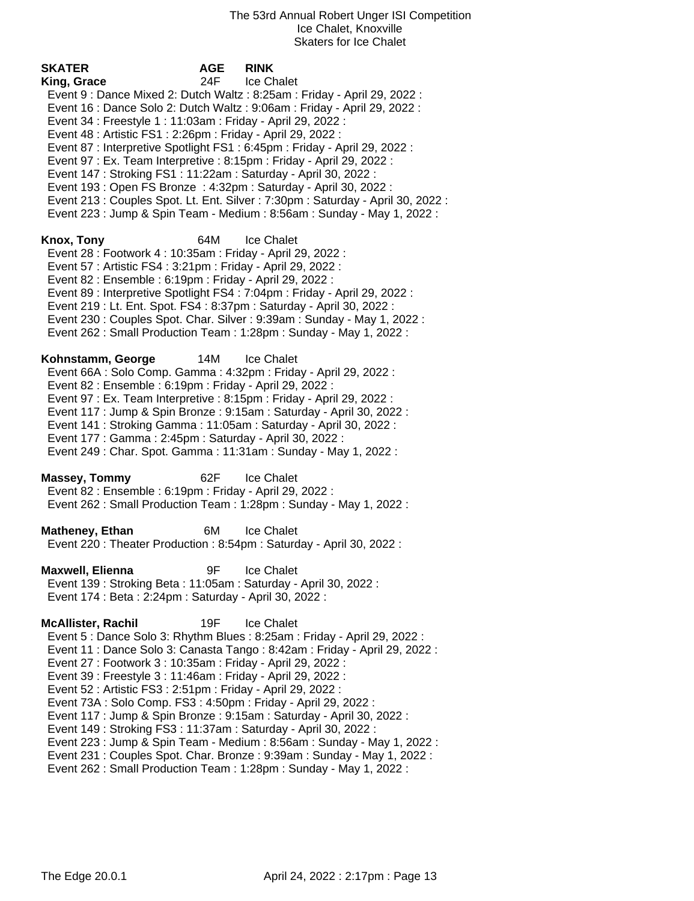**SKATER AGE RINK King, Grace** 24F Ice Chalet Event 9 : Dance Mixed 2: Dutch Waltz : 8:25am : Friday - April 29, 2022 : Event 16 : Dance Solo 2: Dutch Waltz : 9:06am : Friday - April 29, 2022 : Event 34 : Freestyle 1 : 11:03am : Friday - April 29, 2022 : Event 48 : Artistic FS1 : 2:26pm : Friday - April 29, 2022 : Event 87 : Interpretive Spotlight FS1 : 6:45pm : Friday - April 29, 2022 : Event 97 : Ex. Team Interpretive : 8:15pm : Friday - April 29, 2022 : Event 147 : Stroking FS1 : 11:22am : Saturday - April 30, 2022 : Event 193 : Open FS Bronze : 4:32pm : Saturday - April 30, 2022 : Event 213 : Couples Spot. Lt. Ent. Silver : 7:30pm : Saturday - April 30, 2022 : Event 223 : Jump & Spin Team - Medium : 8:56am : Sunday - May 1, 2022 : **Knox, Tony** 64M Ice Chalet Event 28 : Footwork 4 : 10:35am : Friday - April 29, 2022 : Event 57 : Artistic FS4 : 3:21pm : Friday - April 29, 2022 : Event 82 : Ensemble : 6:19pm : Friday - April 29, 2022 : Event 89 : Interpretive Spotlight FS4 : 7:04pm : Friday - April 29, 2022 : Event 219 : Lt. Ent. Spot. FS4 : 8:37pm : Saturday - April 30, 2022 : Event 230 : Couples Spot. Char. Silver : 9:39am : Sunday - May 1, 2022 : Event 262 : Small Production Team : 1:28pm : Sunday - May 1, 2022 : **Kohnstamm, George** 14M Ice Chalet Event 66A : Solo Comp. Gamma : 4:32pm : Friday - April 29, 2022 : Event 82 : Ensemble : 6:19pm : Friday - April 29, 2022 : Event 97 : Ex. Team Interpretive : 8:15pm : Friday - April 29, 2022 : Event 117 : Jump & Spin Bronze : 9:15am : Saturday - April 30, 2022 : Event 141 : Stroking Gamma : 11:05am : Saturday - April 30, 2022 : Event 177 : Gamma : 2:45pm : Saturday - April 30, 2022 : Event 249 : Char. Spot. Gamma : 11:31am : Sunday - May 1, 2022 : **Massey, Tommy** 62F Ice Chalet Event 82 : Ensemble : 6:19pm : Friday - April 29, 2022 : Event 262 : Small Production Team : 1:28pm : Sunday - May 1, 2022 : **Matheney, Ethan** 6M Ice Chalet Event 220 : Theater Production : 8:54pm : Saturday - April 30, 2022 : **Maxwell, Elienna** 9F Ice Chalet Event 139 : Stroking Beta : 11:05am : Saturday - April 30, 2022 : Event 174 : Beta : 2:24pm : Saturday - April 30, 2022 : **McAllister, Rachil** 19F Ice Chalet Event 5 : Dance Solo 3: Rhythm Blues : 8:25am : Friday - April 29, 2022 : Event 11 : Dance Solo 3: Canasta Tango : 8:42am : Friday - April 29, 2022 : Event 27 : Footwork 3 : 10:35am : Friday - April 29, 2022 : Event 39 : Freestyle 3 : 11:46am : Friday - April 29, 2022 : Event 52 : Artistic FS3 : 2:51pm : Friday - April 29, 2022 : Event 73A : Solo Comp. FS3 : 4:50pm : Friday - April 29, 2022 : Event 117 : Jump & Spin Bronze : 9:15am : Saturday - April 30, 2022 : Event 149 : Stroking FS3 : 11:37am : Saturday - April 30, 2022 : Event 223 : Jump & Spin Team - Medium : 8:56am : Sunday - May 1, 2022 : Event 231 : Couples Spot. Char. Bronze : 9:39am : Sunday - May 1, 2022 :

Event 262 : Small Production Team : 1:28pm : Sunday - May 1, 2022 :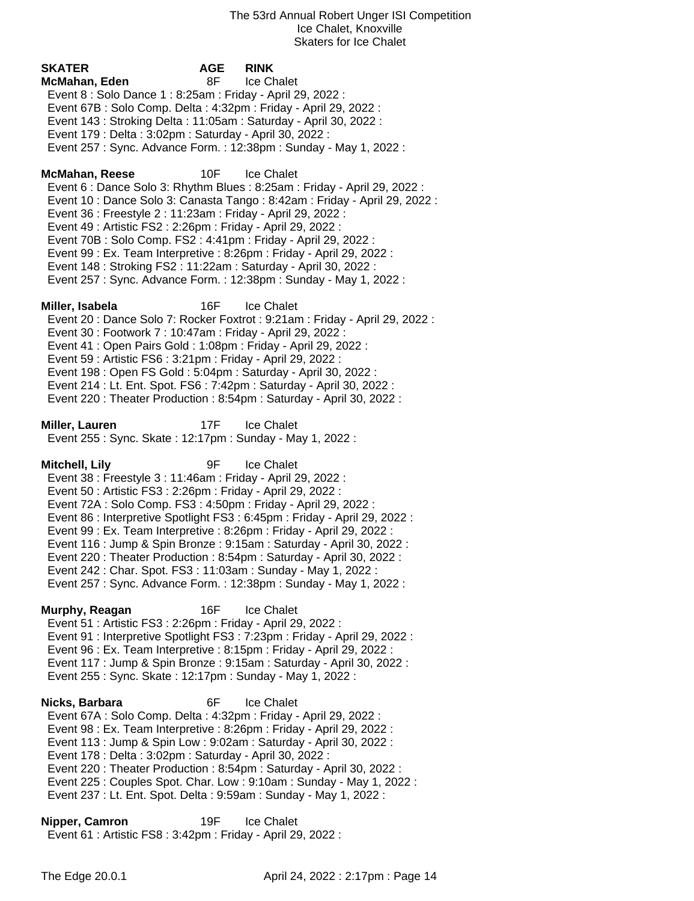**SKATER AGE RINK McMahan, Eden** 8F Ice Chalet Event 8 : Solo Dance 1 : 8:25am : Friday - April 29, 2022 : Event 67B : Solo Comp. Delta : 4:32pm : Friday - April 29, 2022 : Event 143 : Stroking Delta : 11:05am : Saturday - April 30, 2022 : Event 179 : Delta : 3:02pm : Saturday - April 30, 2022 : Event 257 : Sync. Advance Form. : 12:38pm : Sunday - May 1, 2022 : **McMahan, Reese** 10F Ice Chalet Event 6 : Dance Solo 3: Rhythm Blues : 8:25am : Friday - April 29, 2022 : Event 10 : Dance Solo 3: Canasta Tango : 8:42am : Friday - April 29, 2022 : Event 36 : Freestyle 2 : 11:23am : Friday - April 29, 2022 : Event 49 : Artistic FS2 : 2:26pm : Friday - April 29, 2022 : Event 70B : Solo Comp. FS2 : 4:41pm : Friday - April 29, 2022 : Event 99 : Ex. Team Interpretive : 8:26pm : Friday - April 29, 2022 : Event 148 : Stroking FS2 : 11:22am : Saturday - April 30, 2022 : Event 257 : Sync. Advance Form. : 12:38pm : Sunday - May 1, 2022 : **Miller, Isabela** 16F Ice Chalet Event 20 : Dance Solo 7: Rocker Foxtrot : 9:21am : Friday - April 29, 2022 : Event 30 : Footwork 7 : 10:47am : Friday - April 29, 2022 : Event 41 : Open Pairs Gold : 1:08pm : Friday - April 29, 2022 : Event 59 : Artistic FS6 : 3:21pm : Friday - April 29, 2022 : Event 198 : Open FS Gold : 5:04pm : Saturday - April 30, 2022 : Event 214 : Lt. Ent. Spot. FS6 : 7:42pm : Saturday - April 30, 2022 : Event 220 : Theater Production : 8:54pm : Saturday - April 30, 2022 : **Miller, Lauren** 17F Ice Chalet Event 255 : Sync. Skate : 12:17pm : Sunday - May 1, 2022 : **Mitchell, Lily** 9F Ice Chalet Event 38 : Freestyle 3 : 11:46am : Friday - April 29, 2022 : Event 50 : Artistic FS3 : 2:26pm : Friday - April 29, 2022 : Event 72A : Solo Comp. FS3 : 4:50pm : Friday - April 29, 2022 : Event 86 : Interpretive Spotlight FS3 : 6:45pm : Friday - April 29, 2022 : Event 99 : Ex. Team Interpretive : 8:26pm : Friday - April 29, 2022 : Event 116 : Jump & Spin Bronze : 9:15am : Saturday - April 30, 2022 : Event 220 : Theater Production : 8:54pm : Saturday - April 30, 2022 : Event 242 : Char. Spot. FS3 : 11:03am : Sunday - May 1, 2022 : Event 257 : Sync. Advance Form. : 12:38pm : Sunday - May 1, 2022 : **Murphy, Reagan** 16F Ice Chalet Event 51 : Artistic FS3 : 2:26pm : Friday - April 29, 2022 : Event 91 : Interpretive Spotlight FS3 : 7:23pm : Friday - April 29, 2022 : Event 96 : Ex. Team Interpretive : 8:15pm : Friday - April 29, 2022 : Event 117 : Jump & Spin Bronze : 9:15am : Saturday - April 30, 2022 : Event 255 : Sync. Skate : 12:17pm : Sunday - May 1, 2022 : **Nicks, Barbara** 6F Ice Chalet Event 67A : Solo Comp. Delta : 4:32pm : Friday - April 29, 2022 : Event 98 : Ex. Team Interpretive : 8:26pm : Friday - April 29, 2022 : Event 113 : Jump & Spin Low : 9:02am : Saturday - April 30, 2022 : Event 178 : Delta : 3:02pm : Saturday - April 30, 2022 : Event 220 : Theater Production : 8:54pm : Saturday - April 30, 2022 : Event 225 : Couples Spot. Char. Low : 9:10am : Sunday - May 1, 2022 :

Event 237 : Lt. Ent. Spot. Delta : 9:59am : Sunday - May 1, 2022 :

**Nipper, Camron** 19F Ice Chalet Event 61 : Artistic FS8 : 3:42pm : Friday - April 29, 2022 :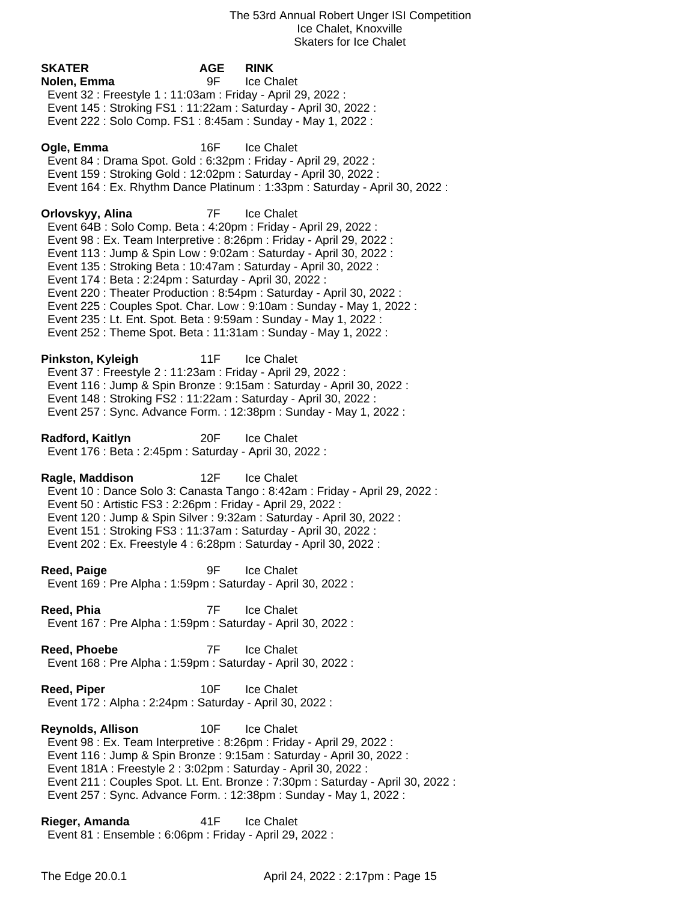**SKATER AGE RINK Nolen, Emma** 9F Ice Chalet Event 32 : Freestyle 1 : 11:03am : Friday - April 29, 2022 : Event 145 : Stroking FS1 : 11:22am : Saturday - April 30, 2022 : Event 222 : Solo Comp. FS1 : 8:45am : Sunday - May 1, 2022 : **Ogle, Emma** 16F Ice Chalet Event 84 : Drama Spot. Gold : 6:32pm : Friday - April 29, 2022 : Event 159 : Stroking Gold : 12:02pm : Saturday - April 30, 2022 : Event 164 : Ex. Rhythm Dance Platinum : 1:33pm : Saturday - April 30, 2022 : **Orlovskyy, Alina** 7F Ice Chalet Event 64B : Solo Comp. Beta : 4:20pm : Friday - April 29, 2022 : Event 98 : Ex. Team Interpretive : 8:26pm : Friday - April 29, 2022 : Event 113 : Jump & Spin Low : 9:02am : Saturday - April 30, 2022 : Event 135 : Stroking Beta : 10:47am : Saturday - April 30, 2022 : Event 174 : Beta : 2:24pm : Saturday - April 30, 2022 : Event 220 : Theater Production : 8:54pm : Saturday - April 30, 2022 : Event 225 : Couples Spot. Char. Low : 9:10am : Sunday - May 1, 2022 : Event 235 : Lt. Ent. Spot. Beta : 9:59am : Sunday - May 1, 2022 : Event 252 : Theme Spot. Beta : 11:31am : Sunday - May 1, 2022 : **Pinkston, Kyleigh** 11F Ice Chalet Event 37 : Freestyle 2 : 11:23am : Friday - April 29, 2022 : Event 116 : Jump & Spin Bronze : 9:15am : Saturday - April 30, 2022 : Event 148 : Stroking FS2 : 11:22am : Saturday - April 30, 2022 : Event 257 : Sync. Advance Form. : 12:38pm : Sunday - May 1, 2022 : **Radford, Kaitlyn** 20F Ice Chalet Event 176 : Beta : 2:45pm : Saturday - April 30, 2022 : **Ragle, Maddison** 12F Ice Chalet Event 10 : Dance Solo 3: Canasta Tango : 8:42am : Friday - April 29, 2022 : Event 50 : Artistic FS3 : 2:26pm : Friday - April 29, 2022 : Event 120 : Jump & Spin Silver : 9:32am : Saturday - April 30, 2022 : Event 151 : Stroking FS3 : 11:37am : Saturday - April 30, 2022 : Event 202 : Ex. Freestyle 4 : 6:28pm : Saturday - April 30, 2022 : **Reed, Paige 1998 12 Second Property** 1 Second Property 1 Second Property 1 Second Property 1 Second Property 1 Second Property 1 Second Property 1 Second Property 1 Second Property 1 Second Property 1 Second Property Event 169 : Pre Alpha : 1:59pm : Saturday - April 30, 2022 : **Reed, Phia** 7F Ice Chalet Event 167 : Pre Alpha : 1:59pm : Saturday - April 30, 2022 : **Reed, Phoebe** 7F Ice Chalet Event 168 : Pre Alpha : 1:59pm : Saturday - April 30, 2022 : **Reed, Piper** 10F Ice Chalet Event 172 : Alpha : 2:24pm : Saturday - April 30, 2022 : **Reynolds, Allison** 10F Ice Chalet Event 98 : Ex. Team Interpretive : 8:26pm : Friday - April 29, 2022 : Event 116 : Jump & Spin Bronze : 9:15am : Saturday - April 30, 2022 : Event 181A : Freestyle 2 : 3:02pm : Saturday - April 30, 2022 : Event 211 : Couples Spot. Lt. Ent. Bronze : 7:30pm : Saturday - April 30, 2022 : Event 257 : Sync. Advance Form. : 12:38pm : Sunday - May 1, 2022 :

**Rieger, Amanda** 41F Ice Chalet Event 81 : Ensemble : 6:06pm : Friday - April 29, 2022 :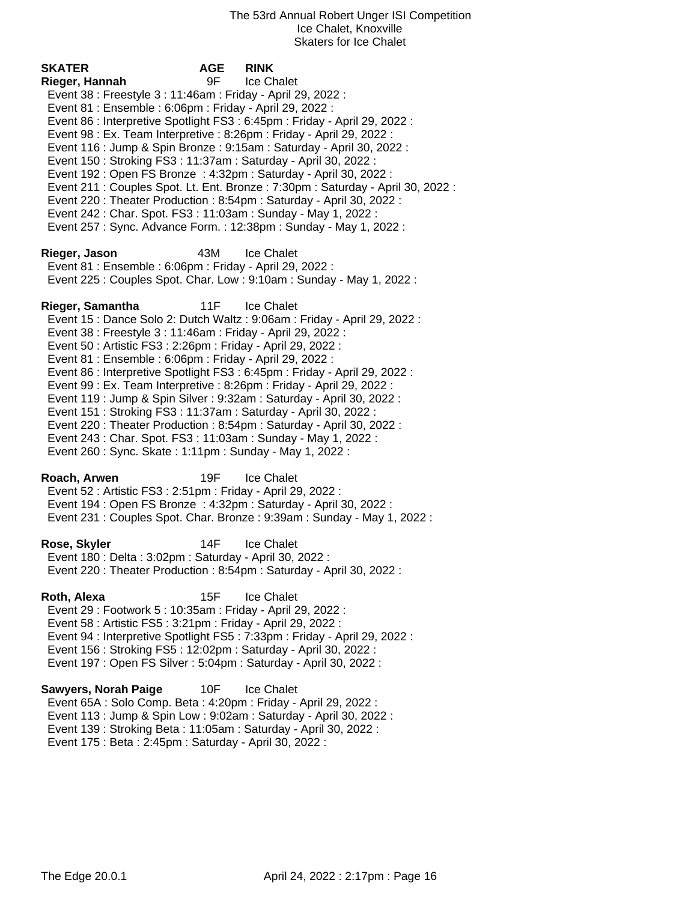**SKATER AGE RINK Rieger, Hannah** 9F Ice Chalet Event 38 : Freestyle 3 : 11:46am : Friday - April 29, 2022 : Event 81 : Ensemble : 6:06pm : Friday - April 29, 2022 : Event 86 : Interpretive Spotlight FS3 : 6:45pm : Friday - April 29, 2022 : Event 98 : Ex. Team Interpretive : 8:26pm : Friday - April 29, 2022 : Event 116 : Jump & Spin Bronze : 9:15am : Saturday - April 30, 2022 : Event 150 : Stroking FS3 : 11:37am : Saturday - April 30, 2022 : Event 192 : Open FS Bronze : 4:32pm : Saturday - April 30, 2022 : Event 211 : Couples Spot. Lt. Ent. Bronze : 7:30pm : Saturday - April 30, 2022 : Event 220 : Theater Production : 8:54pm : Saturday - April 30, 2022 : Event 242 : Char. Spot. FS3 : 11:03am : Sunday - May 1, 2022 : Event 257 : Sync. Advance Form. : 12:38pm : Sunday - May 1, 2022 : **Rieger, Jason** 43M Ice Chalet Event 81 : Ensemble : 6:06pm : Friday - April 29, 2022 : Event 225 : Couples Spot. Char. Low : 9:10am : Sunday - May 1, 2022 : **Rieger, Samantha** 11F Ice Chalet Event 15 : Dance Solo 2: Dutch Waltz : 9:06am : Friday - April 29, 2022 : Event 38 : Freestyle 3 : 11:46am : Friday - April 29, 2022 : Event 50 : Artistic FS3 : 2:26pm : Friday - April 29, 2022 : Event 81 : Ensemble : 6:06pm : Friday - April 29, 2022 : Event 86 : Interpretive Spotlight FS3 : 6:45pm : Friday - April 29, 2022 : Event 99 : Ex. Team Interpretive : 8:26pm : Friday - April 29, 2022 : Event 119 : Jump & Spin Silver : 9:32am : Saturday - April 30, 2022 : Event 151 : Stroking FS3 : 11:37am : Saturday - April 30, 2022 : Event 220 : Theater Production : 8:54pm : Saturday - April 30, 2022 : Event 243 : Char. Spot. FS3 : 11:03am : Sunday - May 1, 2022 : Event 260 : Sync. Skate : 1:11pm : Sunday - May 1, 2022 : **Roach, Arwen** 19F Ice Chalet Event 52 : Artistic FS3 : 2:51pm : Friday - April 29, 2022 : Event 194 : Open FS Bronze : 4:32pm : Saturday - April 30, 2022 : Event 231 : Couples Spot. Char. Bronze : 9:39am : Sunday - May 1, 2022 : **Rose, Skyler** 14F Ice Chalet Event 180 : Delta : 3:02pm : Saturday - April 30, 2022 : Event 220 : Theater Production : 8:54pm : Saturday - April 30, 2022 : **Roth, Alexa** 15F Ice Chalet Event 29 : Footwork 5 : 10:35am : Friday - April 29, 2022 : Event 58 : Artistic FS5 : 3:21pm : Friday - April 29, 2022 : Event 94 : Interpretive Spotlight FS5 : 7:33pm : Friday - April 29, 2022 : Event 156 : Stroking FS5 : 12:02pm : Saturday - April 30, 2022 : Event 197 : Open FS Silver : 5:04pm : Saturday - April 30, 2022 : **Sawyers, Norah Paige** 10F Ice Chalet Event 65A : Solo Comp. Beta : 4:20pm : Friday - April 29, 2022 :

 Event 113 : Jump & Spin Low : 9:02am : Saturday - April 30, 2022 : Event 139 : Stroking Beta : 11:05am : Saturday - April 30, 2022 :

Event 175 : Beta : 2:45pm : Saturday - April 30, 2022 :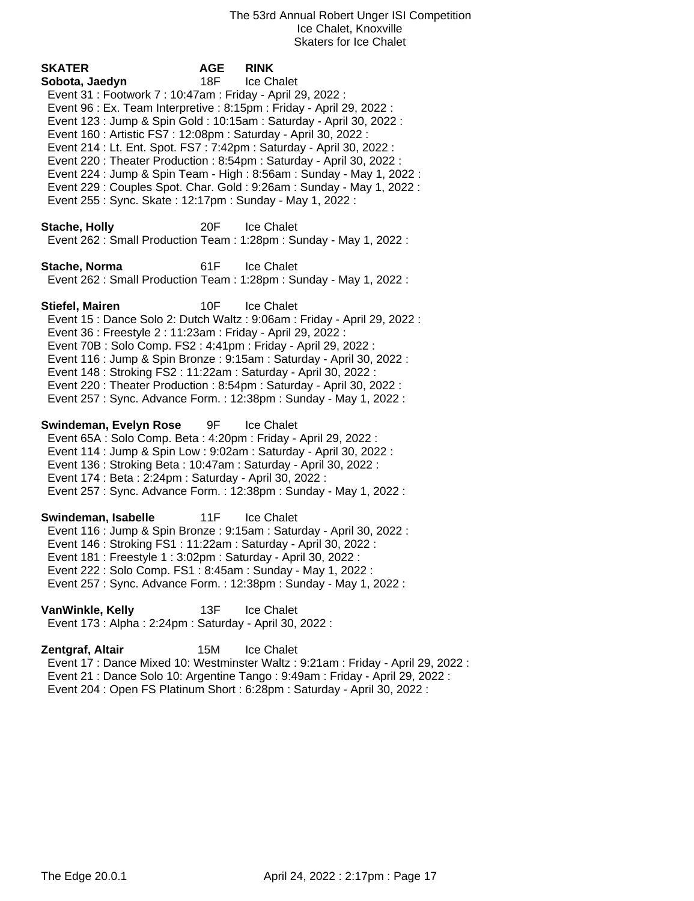| SKATER<br>Sobota, Jaedyn<br>Event 31: Footwork 7: 10:47am: Friday - April 29, 2022:<br>Event 96 : Ex. Team Interpretive : 8:15pm : Friday - April 29, 2022 :<br>Event 160 : Artistic FS7 : 12:08pm : Saturday - April 30, 2022 :<br>Event 214 : Lt. Ent. Spot. FS7 : 7:42pm : Saturday - April 30, 2022 :<br>Event 255: Sync. Skate: 12:17pm: Sunday - May 1, 2022: | AGE<br>18F | <b>RINK</b><br>Ice Chalet<br>Event 123 : Jump & Spin Gold : 10:15am : Saturday - April 30, 2022 :<br>Event 220 : Theater Production : 8:54pm : Saturday - April 30, 2022 :<br>Event 224 : Jump & Spin Team - High : 8:56am : Sunday - May 1, 2022 :<br>Event 229 : Couples Spot. Char. Gold : 9:26am : Sunday - May 1, 2022 : |
|---------------------------------------------------------------------------------------------------------------------------------------------------------------------------------------------------------------------------------------------------------------------------------------------------------------------------------------------------------------------|------------|-------------------------------------------------------------------------------------------------------------------------------------------------------------------------------------------------------------------------------------------------------------------------------------------------------------------------------|
| <b>Stache, Holly</b>                                                                                                                                                                                                                                                                                                                                                | 20F        | Ice Chalet<br>Event 262 : Small Production Team : 1:28pm : Sunday - May 1, 2022 :                                                                                                                                                                                                                                             |
| Stache, Norma                                                                                                                                                                                                                                                                                                                                                       | 61F        | <b>Ice Chalet</b><br>Event 262: Small Production Team: 1:28pm: Sunday - May 1, 2022:                                                                                                                                                                                                                                          |
| <b>Stiefel, Mairen</b><br>Event 36 : Freestyle 2 : 11:23am : Friday - April 29, 2022 :<br>Event 70B: Solo Comp. FS2: 4:41pm: Friday - April 29, 2022:<br>Event 148 : Stroking FS2 : 11:22am : Saturday - April 30, 2022 :                                                                                                                                           | 10F        | Ice Chalet<br>Event 15 : Dance Solo 2: Dutch Waltz : 9:06am : Friday - April 29, 2022 :<br>Event 116 : Jump & Spin Bronze : 9:15am : Saturday - April 30, 2022 :<br>Event 220 : Theater Production : 8:54pm : Saturday - April 30, 2022 :<br>Event 257: Sync. Advance Form.: 12:38pm: Sunday - May 1, 2022:                   |
| Swindeman, Evelyn Rose<br>Event 65A : Solo Comp. Beta : 4:20pm : Friday - April 29, 2022 :<br>Event 114 : Jump & Spin Low : 9:02am : Saturday - April 30, 2022 :<br>Event 136 : Stroking Beta : 10:47am : Saturday - April 30, 2022 :<br>Event 174 : Beta : 2:24pm : Saturday - April 30, 2022 :                                                                    | 9F         | <b>Ice Chalet</b><br>Event 257: Sync. Advance Form.: 12:38pm: Sunday - May 1, 2022:                                                                                                                                                                                                                                           |
| Swindeman, Isabelle<br>Event 146 : Stroking FS1 : 11:22am : Saturday - April 30, 2022 :<br>Event 181 : Freestyle 1 : 3:02pm : Saturday - April 30, 2022 :<br>Event 222 : Solo Comp. FS1 : 8:45am : Sunday - May 1, 2022 :                                                                                                                                           | 11F        | <b>Ice Chalet</b><br>Event 116 : Jump & Spin Bronze : 9:15am : Saturday - April 30, 2022 :<br>Event 257: Sync. Advance Form.: 12:38pm: Sunday - May 1, 2022:                                                                                                                                                                  |
| VanWinkle, Kelly<br>Event 173 : Alpha : 2:24pm : Saturday - April 30, 2022 :                                                                                                                                                                                                                                                                                        | 13F        | Ice Chalet                                                                                                                                                                                                                                                                                                                    |

**Zentgraf, Altair** 15M Ice Chalet Event 17 : Dance Mixed 10: Westminster Waltz : 9:21am : Friday - April 29, 2022 : Event 21 : Dance Solo 10: Argentine Tango : 9:49am : Friday - April 29, 2022 : Event 204 : Open FS Platinum Short : 6:28pm : Saturday - April 30, 2022 :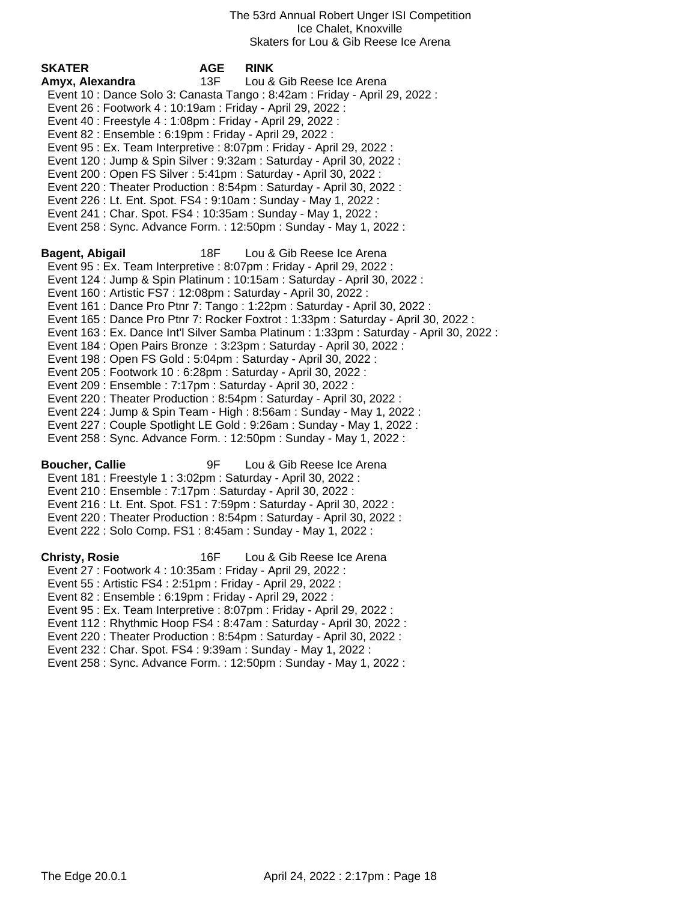| SKATER                                                                                                              | <b>AGE</b> | <b>RINK</b>                                                                                                                                    |
|---------------------------------------------------------------------------------------------------------------------|------------|------------------------------------------------------------------------------------------------------------------------------------------------|
| Amyx, Alexandra                                                                                                     | 13F        | Lou & Gib Reese Ice Arena<br>Event 10 : Dance Solo 3: Canasta Tango : 8:42am : Friday - April 29, 2022 :                                       |
| Event 26 : Footwork 4 : 10:19am : Friday - April 29, 2022 :                                                         |            |                                                                                                                                                |
| Event 40 : Freestyle 4 : 1:08pm : Friday - April 29, 2022 :                                                         |            |                                                                                                                                                |
| Event 82 : Ensemble : 6:19pm : Friday - April 29, 2022 :                                                            |            |                                                                                                                                                |
|                                                                                                                     |            | Event 95 : Ex. Team Interpretive : 8:07pm : Friday - April 29, 2022 :                                                                          |
| Event 200 : Open FS Silver : 5:41pm : Saturday - April 30, 2022 :                                                   |            | Event 120 : Jump & Spin Silver : 9:32am : Saturday - April 30, 2022 :                                                                          |
|                                                                                                                     |            | Event 220 : Theater Production : 8:54pm : Saturday - April 30, 2022 :                                                                          |
| Event 226 : Lt. Ent. Spot. FS4 : 9:10am : Sunday - May 1, 2022 :                                                    |            |                                                                                                                                                |
| Event 241 : Char. Spot. FS4 : 10:35am : Sunday - May 1, 2022 :                                                      |            |                                                                                                                                                |
|                                                                                                                     |            | Event 258 : Sync. Advance Form. : 12:50pm : Sunday - May 1, 2022 :                                                                             |
| Bagent, Abigail                                                                                                     | 18F        | Lou & Gib Reese Ice Arena                                                                                                                      |
|                                                                                                                     |            | Event 95 : Ex. Team Interpretive : 8:07pm : Friday - April 29, 2022 :                                                                          |
|                                                                                                                     |            | Event 124 : Jump & Spin Platinum : 10:15am : Saturday - April 30, 2022 :                                                                       |
| Event 160 : Artistic FS7 : 12:08pm : Saturday - April 30, 2022 :                                                    |            | Event 161 : Dance Pro Ptnr 7: Tango : 1:22pm : Saturday - April 30, 2022 :                                                                     |
|                                                                                                                     |            | Event 165 : Dance Pro Ptnr 7: Rocker Foxtrot : 1:33pm : Saturday - April 30, 2022 :                                                            |
|                                                                                                                     |            | Event 163 : Ex. Dance Int'l Silver Samba Platinum : 1:33pm : Saturday - April 30, 2022 :                                                       |
|                                                                                                                     |            | Event 184 : Open Pairs Bronze : 3:23pm : Saturday - April 30, 2022 :                                                                           |
| Event 198 : Open FS Gold : 5:04pm : Saturday - April 30, 2022 :                                                     |            |                                                                                                                                                |
| Event 205 : Footwork 10 : 6:28pm : Saturday - April 30, 2022 :                                                      |            |                                                                                                                                                |
| Event 209 : Ensemble : 7:17pm : Saturday - April 30, 2022 :                                                         |            | Event 220 : Theater Production : 8:54pm : Saturday - April 30, 2022 :                                                                          |
|                                                                                                                     |            | Event 224 : Jump & Spin Team - High : 8:56am : Sunday - May 1, 2022 :                                                                          |
|                                                                                                                     |            | Event 227 : Couple Spotlight LE Gold : 9:26am : Sunday - May 1, 2022 :                                                                         |
|                                                                                                                     |            | Event 258 : Sync. Advance Form. : 12:50pm : Sunday - May 1, 2022 :                                                                             |
| <b>Boucher, Callie</b>                                                                                              | 9F         | Lou & Gib Reese Ice Arena                                                                                                                      |
| Event 181 : Freestyle 1 : 3:02pm : Saturday - April 30, 2022 :                                                      |            |                                                                                                                                                |
| Event 210 : Ensemble : 7:17pm : Saturday - April 30, 2022 :                                                         |            |                                                                                                                                                |
|                                                                                                                     |            | Event 216 : Lt. Ent. Spot. FS1 : 7:59pm : Saturday - April 30, 2022 :<br>Event 220 : Theater Production : 8:54pm : Saturday - April 30, 2022 : |
| Event 222 : Solo Comp. FS1 : 8:45am : Sunday - May 1, 2022 :                                                        |            |                                                                                                                                                |
|                                                                                                                     |            |                                                                                                                                                |
| <b>Christy, Rosie</b>                                                                                               | 16F        | Lou & Gib Reese Ice Arena                                                                                                                      |
| Event 27: Footwork 4: 10:35am: Friday - April 29, 2022:<br>Event 55: Artistic FS4: 2:51pm: Friday - April 29, 2022: |            |                                                                                                                                                |
| Event 82 : Ensemble : 6:19pm : Friday - April 29, 2022 :                                                            |            |                                                                                                                                                |
|                                                                                                                     |            | Event 95 : Ex. Team Interpretive : 8:07pm : Friday - April 29, 2022 :                                                                          |
|                                                                                                                     |            | Event 112 : Rhythmic Hoop FS4 : 8:47am : Saturday - April 30, 2022 :                                                                           |
|                                                                                                                     |            | Event 220 : Theater Production : 8:54pm : Saturday - April 30, 2022 :                                                                          |
| Event 232: Char. Spot. FS4: 9:39am: Sunday - May 1, 2022:                                                           |            |                                                                                                                                                |
|                                                                                                                     |            | Event 258 : Sync. Advance Form. : 12:50pm : Sunday - May 1, 2022 :                                                                             |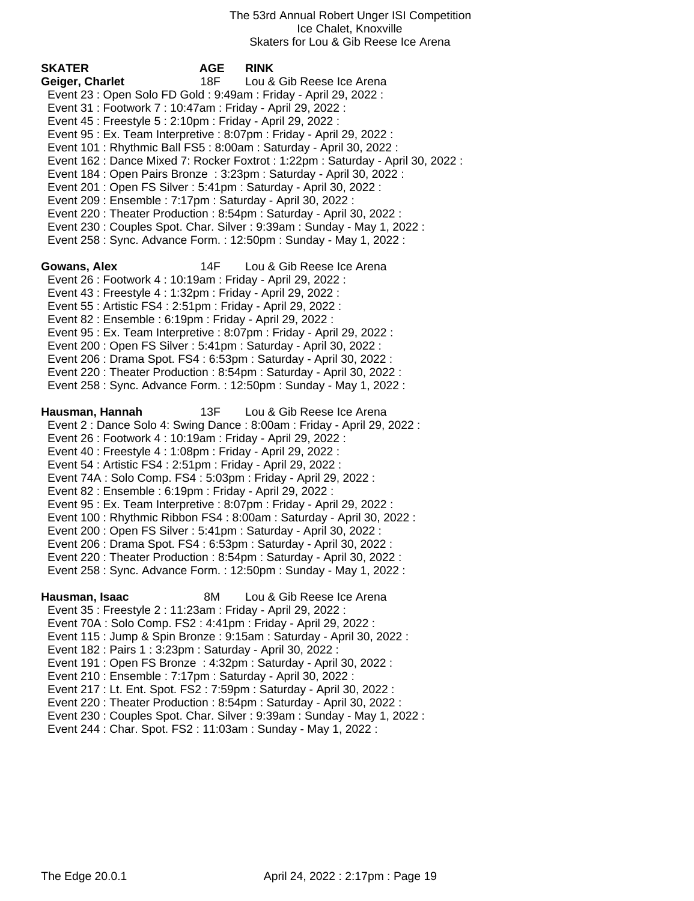| <b>SKATER</b><br>Geiger, Charlet<br>Event 23 : Open Solo FD Gold : 9:49am : Friday - April 29, 2022 :<br>Event 31: Footwork 7: 10:47am: Friday - April 29, 2022:<br>Event 45 : Freestyle 5 : 2:10pm : Friday - April 29, 2022 :<br>Event 201 : Open FS Silver : 5:41pm : Saturday - April 30, 2022 :<br>Event 209 : Ensemble : 7:17pm : Saturday - April 30, 2022 :                                                                                                                                                                                              | <b>AGE</b><br>18F | <b>RINK</b><br>Lou & Gib Reese Ice Arena<br>Event 95 : Ex. Team Interpretive : 8:07pm : Friday - April 29, 2022 :<br>Event 101 : Rhythmic Ball FS5 : 8:00am : Saturday - April 30, 2022 :<br>Event 162 : Dance Mixed 7: Rocker Foxtrot : 1:22pm : Saturday - April 30, 2022 :<br>Event 184 : Open Pairs Bronze : 3:23pm : Saturday - April 30, 2022 :<br>Event 220: Theater Production: 8:54pm: Saturday - April 30, 2022:<br>Event 230 : Couples Spot. Char. Silver : 9:39am : Sunday - May 1, 2022 :<br>Event 258 : Sync. Advance Form. : 12:50pm : Sunday - May 1, 2022 : |
|------------------------------------------------------------------------------------------------------------------------------------------------------------------------------------------------------------------------------------------------------------------------------------------------------------------------------------------------------------------------------------------------------------------------------------------------------------------------------------------------------------------------------------------------------------------|-------------------|------------------------------------------------------------------------------------------------------------------------------------------------------------------------------------------------------------------------------------------------------------------------------------------------------------------------------------------------------------------------------------------------------------------------------------------------------------------------------------------------------------------------------------------------------------------------------|
| Gowans, Alex<br>Event 26 : Footwork 4 : 10:19am : Friday - April 29, 2022 :<br>Event 43 : Freestyle 4 : 1:32pm : Friday - April 29, 2022 :<br>Event 55: Artistic FS4: 2:51pm: Friday - April 29, 2022:<br>Event 82 : Ensemble : 6:19pm : Friday - April 29, 2022 :<br>Event 200 : Open FS Silver : 5:41pm : Saturday - April 30, 2022 :<br>Event 206 : Drama Spot. FS4 : 6:53pm : Saturday - April 30, 2022 :                                                                                                                                                    | 14F               | Lou & Gib Reese Ice Arena<br>Event 95 : Ex. Team Interpretive : 8:07pm : Friday - April 29, 2022 :<br>Event 220 : Theater Production : 8:54pm : Saturday - April 30, 2022 :<br>Event 258 : Sync. Advance Form. : 12:50pm : Sunday - May 1, 2022 :                                                                                                                                                                                                                                                                                                                            |
| Hausman, Hannah<br>Event 26 : Footwork 4 : 10:19am : Friday - April 29, 2022 :<br>Event 40 : Freestyle 4 : 1:08pm : Friday - April 29, 2022 :<br>Event 54 : Artistic FS4 : 2:51pm : Friday - April 29, 2022 :<br>Event 74A : Solo Comp. FS4 : 5:03pm : Friday - April 29, 2022 :<br>Event 82 : Ensemble : 6:19pm : Friday - April 29, 2022 :<br>Event 95 : Ex. Team Interpretive : 8:07pm : Friday - April 29, 2022 :<br>Event 200 : Open FS Silver : 5:41pm : Saturday - April 30, 2022 :<br>Event 206 : Drama Spot. FS4 : 6:53pm : Saturday - April 30, 2022 : | 13F               | Lou & Gib Reese Ice Arena<br>Event 2: Dance Solo 4: Swing Dance: 8:00am: Friday - April 29, 2022:<br>Event 100: Rhythmic Ribbon FS4: 8:00am: Saturday - April 30, 2022:<br>Event 220: Theater Production: 8:54pm: Saturday - April 30, 2022:<br>Event 258 : Sync. Advance Form. : 12:50pm : Sunday - May 1, 2022 :                                                                                                                                                                                                                                                           |
| Hausman, Isaac<br>Event 35 : Freestyle 2 : 11:23am : Friday - April 29, 2022 :<br>Event 70A : Solo Comp. FS2 : 4:41pm : Friday - April 29, 2022 :<br>Event 182 : Pairs 1 : 3:23pm : Saturday - April 30, 2022 :<br>Event 210 : Ensemble : 7:17pm : Saturday - April 30, 2022 :<br>Event 244 : Char. Spot. FS2 : 11:03am : Sunday - May 1, 2022 :                                                                                                                                                                                                                 | 8M                | Lou & Gib Reese Ice Arena<br>Event 115 : Jump & Spin Bronze : 9:15am : Saturday - April 30, 2022 :<br>Event 191 : Open FS Bronze : 4:32pm : Saturday - April 30, 2022 :<br>Event 217 : Lt. Ent. Spot. FS2 : 7:59pm : Saturday - April 30, 2022 :<br>Event 220: Theater Production: 8:54pm: Saturday - April 30, 2022:<br>Event 230 : Couples Spot. Char. Silver : 9:39am : Sunday - May 1, 2022 :                                                                                                                                                                            |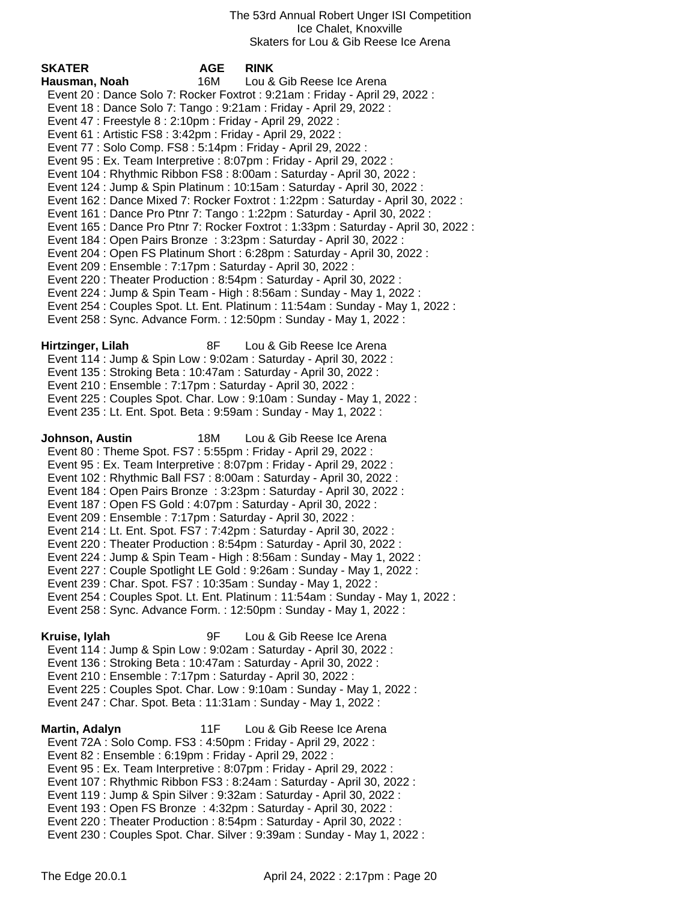| <b>SKATER</b>     | <b>AGE</b>                                                      | <b>RINK</b>                                                                                                                                                                                                                                                                                                                                                                                                                                                                                                                                                                                                                                                                                                                                                                                                                                                                                                                                                                            |
|-------------------|-----------------------------------------------------------------|----------------------------------------------------------------------------------------------------------------------------------------------------------------------------------------------------------------------------------------------------------------------------------------------------------------------------------------------------------------------------------------------------------------------------------------------------------------------------------------------------------------------------------------------------------------------------------------------------------------------------------------------------------------------------------------------------------------------------------------------------------------------------------------------------------------------------------------------------------------------------------------------------------------------------------------------------------------------------------------|
| Hausman, Noah     | 16M                                                             | Lou & Gib Reese Ice Arena                                                                                                                                                                                                                                                                                                                                                                                                                                                                                                                                                                                                                                                                                                                                                                                                                                                                                                                                                              |
|                   |                                                                 | Event 20 : Dance Solo 7: Rocker Foxtrot : 9:21am : Friday - April 29, 2022 :                                                                                                                                                                                                                                                                                                                                                                                                                                                                                                                                                                                                                                                                                                                                                                                                                                                                                                           |
|                   |                                                                 | Event 18 : Dance Solo 7: Tango : 9:21am : Friday - April 29, 2022 :                                                                                                                                                                                                                                                                                                                                                                                                                                                                                                                                                                                                                                                                                                                                                                                                                                                                                                                    |
|                   | Event 47 : Freestyle 8 : 2:10pm : Friday - April 29, 2022 :     |                                                                                                                                                                                                                                                                                                                                                                                                                                                                                                                                                                                                                                                                                                                                                                                                                                                                                                                                                                                        |
|                   | Event 61 : Artistic FS8 : 3:42pm : Friday - April 29, 2022 :    |                                                                                                                                                                                                                                                                                                                                                                                                                                                                                                                                                                                                                                                                                                                                                                                                                                                                                                                                                                                        |
|                   |                                                                 | Event 77: Solo Comp. FS8: 5:14pm: Friday - April 29, 2022:                                                                                                                                                                                                                                                                                                                                                                                                                                                                                                                                                                                                                                                                                                                                                                                                                                                                                                                             |
|                   |                                                                 | Event 95 : Ex. Team Interpretive : 8:07pm : Friday - April 29, 2022 :                                                                                                                                                                                                                                                                                                                                                                                                                                                                                                                                                                                                                                                                                                                                                                                                                                                                                                                  |
|                   |                                                                 | Event 104 : Rhythmic Ribbon FS8 : 8:00am : Saturday - April 30, 2022 :                                                                                                                                                                                                                                                                                                                                                                                                                                                                                                                                                                                                                                                                                                                                                                                                                                                                                                                 |
|                   |                                                                 | Event 124 : Jump & Spin Platinum : 10:15am : Saturday - April 30, 2022 :                                                                                                                                                                                                                                                                                                                                                                                                                                                                                                                                                                                                                                                                                                                                                                                                                                                                                                               |
|                   |                                                                 | Event 162 : Dance Mixed 7: Rocker Foxtrot : 1:22pm : Saturday - April 30, 2022 :                                                                                                                                                                                                                                                                                                                                                                                                                                                                                                                                                                                                                                                                                                                                                                                                                                                                                                       |
|                   |                                                                 | Event 161 : Dance Pro Ptnr 7: Tango : 1:22pm : Saturday - April 30, 2022 :                                                                                                                                                                                                                                                                                                                                                                                                                                                                                                                                                                                                                                                                                                                                                                                                                                                                                                             |
|                   |                                                                 | Event 165 : Dance Pro Ptnr 7: Rocker Foxtrot : 1:33pm : Saturday - April 30, 2022 :                                                                                                                                                                                                                                                                                                                                                                                                                                                                                                                                                                                                                                                                                                                                                                                                                                                                                                    |
|                   |                                                                 | Event 184 : Open Pairs Bronze : 3:23pm : Saturday - April 30, 2022 :                                                                                                                                                                                                                                                                                                                                                                                                                                                                                                                                                                                                                                                                                                                                                                                                                                                                                                                   |
|                   |                                                                 | Event 204 : Open FS Platinum Short : 6:28pm : Saturday - April 30, 2022 :                                                                                                                                                                                                                                                                                                                                                                                                                                                                                                                                                                                                                                                                                                                                                                                                                                                                                                              |
|                   |                                                                 | Event 209 : Ensemble : 7:17pm : Saturday - April 30, 2022 :                                                                                                                                                                                                                                                                                                                                                                                                                                                                                                                                                                                                                                                                                                                                                                                                                                                                                                                            |
|                   |                                                                 | Event 220: Theater Production: 8:54pm: Saturday - April 30, 2022:                                                                                                                                                                                                                                                                                                                                                                                                                                                                                                                                                                                                                                                                                                                                                                                                                                                                                                                      |
|                   |                                                                 | Event 224 : Jump & Spin Team - High : 8:56am : Sunday - May 1, 2022 :                                                                                                                                                                                                                                                                                                                                                                                                                                                                                                                                                                                                                                                                                                                                                                                                                                                                                                                  |
|                   |                                                                 | Event 254 : Couples Spot. Lt. Ent. Platinum : 11:54am : Sunday - May 1, 2022 :                                                                                                                                                                                                                                                                                                                                                                                                                                                                                                                                                                                                                                                                                                                                                                                                                                                                                                         |
|                   |                                                                 | Event 258 : Sync. Advance Form. : 12:50pm : Sunday - May 1, 2022 :                                                                                                                                                                                                                                                                                                                                                                                                                                                                                                                                                                                                                                                                                                                                                                                                                                                                                                                     |
|                   | 8F                                                              | Lou & Gib Reese Ice Arena                                                                                                                                                                                                                                                                                                                                                                                                                                                                                                                                                                                                                                                                                                                                                                                                                                                                                                                                                              |
| Hirtzinger, Lilah |                                                                 | Event 114 : Jump & Spin Low : 9:02am : Saturday - April 30, 2022 :                                                                                                                                                                                                                                                                                                                                                                                                                                                                                                                                                                                                                                                                                                                                                                                                                                                                                                                     |
|                   |                                                                 | Event 135: Stroking Beta: 10:47am: Saturday - April 30, 2022:                                                                                                                                                                                                                                                                                                                                                                                                                                                                                                                                                                                                                                                                                                                                                                                                                                                                                                                          |
|                   |                                                                 | Event 210 : Ensemble : 7:17pm : Saturday - April 30, 2022 :                                                                                                                                                                                                                                                                                                                                                                                                                                                                                                                                                                                                                                                                                                                                                                                                                                                                                                                            |
|                   |                                                                 | Event 225 : Couples Spot. Char. Low : 9:10am : Sunday - May 1, 2022 :                                                                                                                                                                                                                                                                                                                                                                                                                                                                                                                                                                                                                                                                                                                                                                                                                                                                                                                  |
|                   |                                                                 | Event 235 : Lt. Ent. Spot. Beta : 9:59am : Sunday - May 1, 2022 :                                                                                                                                                                                                                                                                                                                                                                                                                                                                                                                                                                                                                                                                                                                                                                                                                                                                                                                      |
|                   |                                                                 |                                                                                                                                                                                                                                                                                                                                                                                                                                                                                                                                                                                                                                                                                                                                                                                                                                                                                                                                                                                        |
| Johnson, Austin   | 18M                                                             | Lou & Gib Reese Ice Arena<br>Event 80 : Theme Spot. FS7 : 5:55pm : Friday - April 29, 2022 :<br>Event 95 : Ex. Team Interpretive : 8:07pm : Friday - April 29, 2022 :<br>Event 102 : Rhythmic Ball FS7 : 8:00am : Saturday - April 30, 2022 :<br>Event 184 : Open Pairs Bronze : 3:23pm : Saturday - April 30, 2022 :<br>Event 187 : Open FS Gold : 4:07pm : Saturday - April 30, 2022 :<br>Event 209 : Ensemble : 7:17pm : Saturday - April 30, 2022 :<br>Event 214 : Lt. Ent. Spot. FS7 : 7:42pm : Saturday - April 30, 2022 :<br>Event 220 : Theater Production : 8:54pm : Saturday - April 30, 2022 :<br>Event 224 : Jump & Spin Team - High : 8:56am : Sunday - May 1, 2022 :<br>Event 227 : Couple Spotlight LE Gold : 9:26am : Sunday - May 1, 2022 :<br>Event 239 : Char. Spot. FS7 : 10:35am : Sunday - May 1, 2022 :<br>Event 254 : Couples Spot. Lt. Ent. Platinum : 11:54am : Sunday - May 1, 2022 :<br>Event 258 : Sync. Advance Form. : 12:50pm : Sunday - May 1, 2022 : |
| Kruise, lylah     | 9F                                                              | Lou & Gib Reese Ice Arena<br>Event 114 : Jump & Spin Low : 9:02am : Saturday - April 30, 2022 :<br>Event 136: Stroking Beta: 10:47am: Saturday - April 30, 2022:<br>Event 210 : Ensemble : 7:17pm : Saturday - April 30, 2022 :<br>Event 225 : Couples Spot. Char. Low : 9:10am : Sunday - May 1, 2022 :<br>Event 247 : Char. Spot. Beta : 11:31am : Sunday - May 1, 2022 :                                                                                                                                                                                                                                                                                                                                                                                                                                                                                                                                                                                                            |
| Martin, Adalyn    | 11F<br>Event 82 : Ensemble : 6:19pm : Friday - April 29, 2022 : | Lou & Gib Reese Ice Arena<br>Event 72A : Solo Comp. FS3 : 4:50pm : Friday - April 29, 2022 :<br>Event 95 : Ex. Team Interpretive : 8:07pm : Friday - April 29, 2022 :<br>Event 107 : Rhythmic Ribbon FS3 : 8:24am : Saturday - April 30, 2022 :<br>Event 119 : Jump & Spin Silver : 9:32am : Saturday - April 30, 2022 :                                                                                                                                                                                                                                                                                                                                                                                                                                                                                                                                                                                                                                                               |

Event 193 : Open FS Bronze : 4:32pm : Saturday - April 30, 2022 :

 Event 220 : Theater Production : 8:54pm : Saturday - April 30, 2022 : Event 230 : Couples Spot. Char. Silver : 9:39am : Sunday - May 1, 2022 :